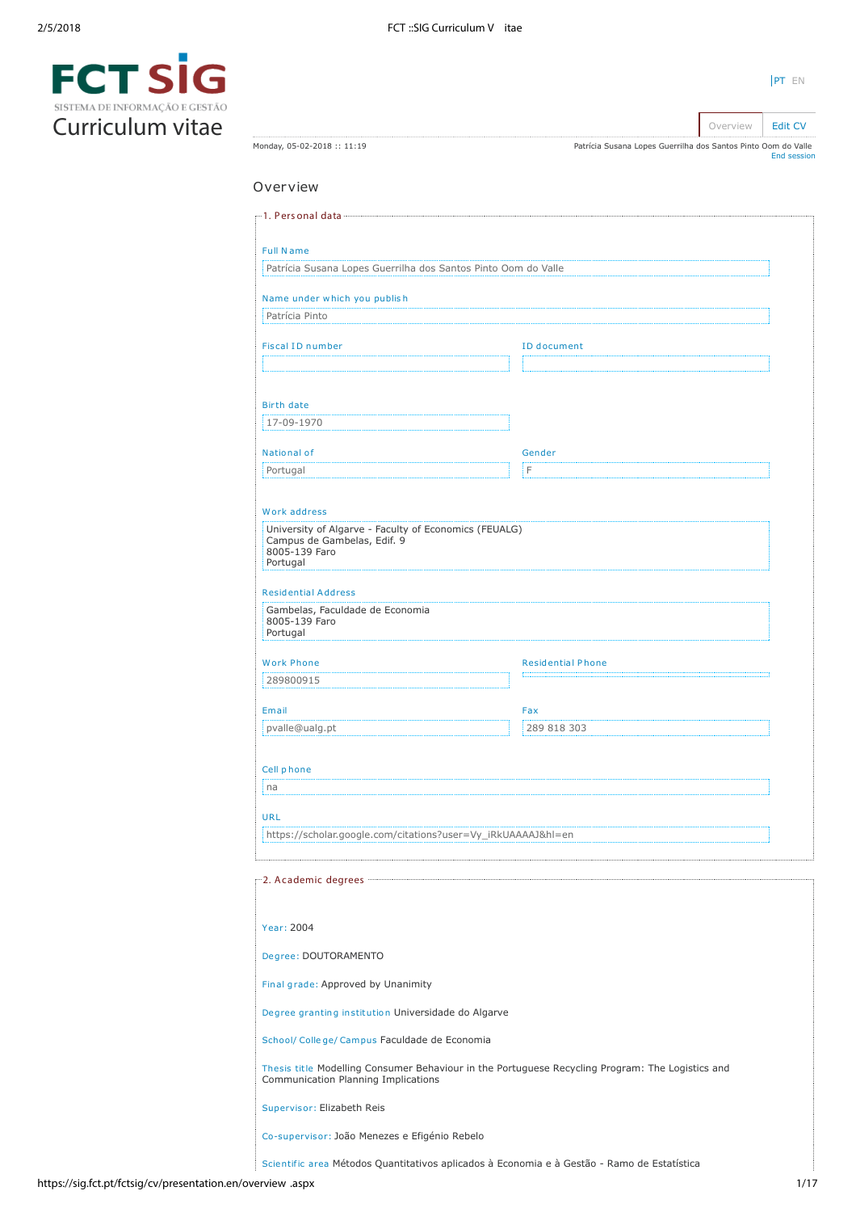| $\blacksquare$                 | SIV |  |
|--------------------------------|-----|--|
| SISTEMA DE INFORMAÇÃO E GESTÃO |     |  |
| Curriculum vitae               |     |  |

| ۰. |  |
|----|--|
|    |  |

Monday, 05-02-2018 :: 11:19

Overview **[Edit CV](https://sig.fct.pt/fctsig/cv/presentation.en/editCV.aspx)** Patrícia Susana Lopes Guerrilha dos Santos Pinto Oom do Valle [End session](https://sig.fct.pt/fctsig/cv/scripts/logout.aspx)

# Overview

| Patrícia Susana Lopes Guerrilha dos Santos Pinto Oom do Valle                        |                                                                                                  |  |  |  |  |  |
|--------------------------------------------------------------------------------------|--------------------------------------------------------------------------------------------------|--|--|--|--|--|
| Name under which you publish                                                         |                                                                                                  |  |  |  |  |  |
| Patrícia Pinto                                                                       |                                                                                                  |  |  |  |  |  |
| <b>Fiscal ID number</b>                                                              | <b>ID</b> document                                                                               |  |  |  |  |  |
|                                                                                      |                                                                                                  |  |  |  |  |  |
| <b>Birth date</b>                                                                    |                                                                                                  |  |  |  |  |  |
| 17-09-1970                                                                           |                                                                                                  |  |  |  |  |  |
| National of                                                                          | Gender                                                                                           |  |  |  |  |  |
| Portugal                                                                             | F                                                                                                |  |  |  |  |  |
|                                                                                      |                                                                                                  |  |  |  |  |  |
| Work address                                                                         |                                                                                                  |  |  |  |  |  |
| University of Algarve - Faculty of Economics (FEUALG)<br>Campus de Gambelas, Edif. 9 |                                                                                                  |  |  |  |  |  |
| 8005-139 Faro<br>Portugal                                                            |                                                                                                  |  |  |  |  |  |
| <b>Residential Address</b>                                                           |                                                                                                  |  |  |  |  |  |
| Gambelas, Faculdade de Economia<br>8005-139 Faro                                     |                                                                                                  |  |  |  |  |  |
| Portugal                                                                             |                                                                                                  |  |  |  |  |  |
| <b>Work Phone</b>                                                                    | <b>Residential Phone</b>                                                                         |  |  |  |  |  |
| 289800915                                                                            |                                                                                                  |  |  |  |  |  |
| Email                                                                                | Fax                                                                                              |  |  |  |  |  |
| pvalle@ualg.pt                                                                       | 289 818 303                                                                                      |  |  |  |  |  |
|                                                                                      |                                                                                                  |  |  |  |  |  |
| Cell phone<br>na                                                                     |                                                                                                  |  |  |  |  |  |
|                                                                                      |                                                                                                  |  |  |  |  |  |
| <b>URL</b><br>https://scholar.google.com/citations?user=Vy_iRkUAAAAJ&hl=en           |                                                                                                  |  |  |  |  |  |
|                                                                                      |                                                                                                  |  |  |  |  |  |
|                                                                                      |                                                                                                  |  |  |  |  |  |
|                                                                                      |                                                                                                  |  |  |  |  |  |
| Year: 2004                                                                           |                                                                                                  |  |  |  |  |  |
| Degree: DOUTORAMENTO                                                                 |                                                                                                  |  |  |  |  |  |
| Final grade: Approved by Unanimity                                                   |                                                                                                  |  |  |  |  |  |
| Degree granting institution Universidade do Algarve                                  |                                                                                                  |  |  |  |  |  |
| School/ College/ Campus Faculdade de Economia                                        |                                                                                                  |  |  |  |  |  |
| Communication Planning Implications                                                  | Thesis title Modelling Consumer Behaviour in the Portuguese Recycling Program: The Logistics and |  |  |  |  |  |
|                                                                                      |                                                                                                  |  |  |  |  |  |
| Supervisor: Elizabeth Reis                                                           |                                                                                                  |  |  |  |  |  |
| Co-supervisor: João Menezes e Efigénio Rebelo                                        |                                                                                                  |  |  |  |  |  |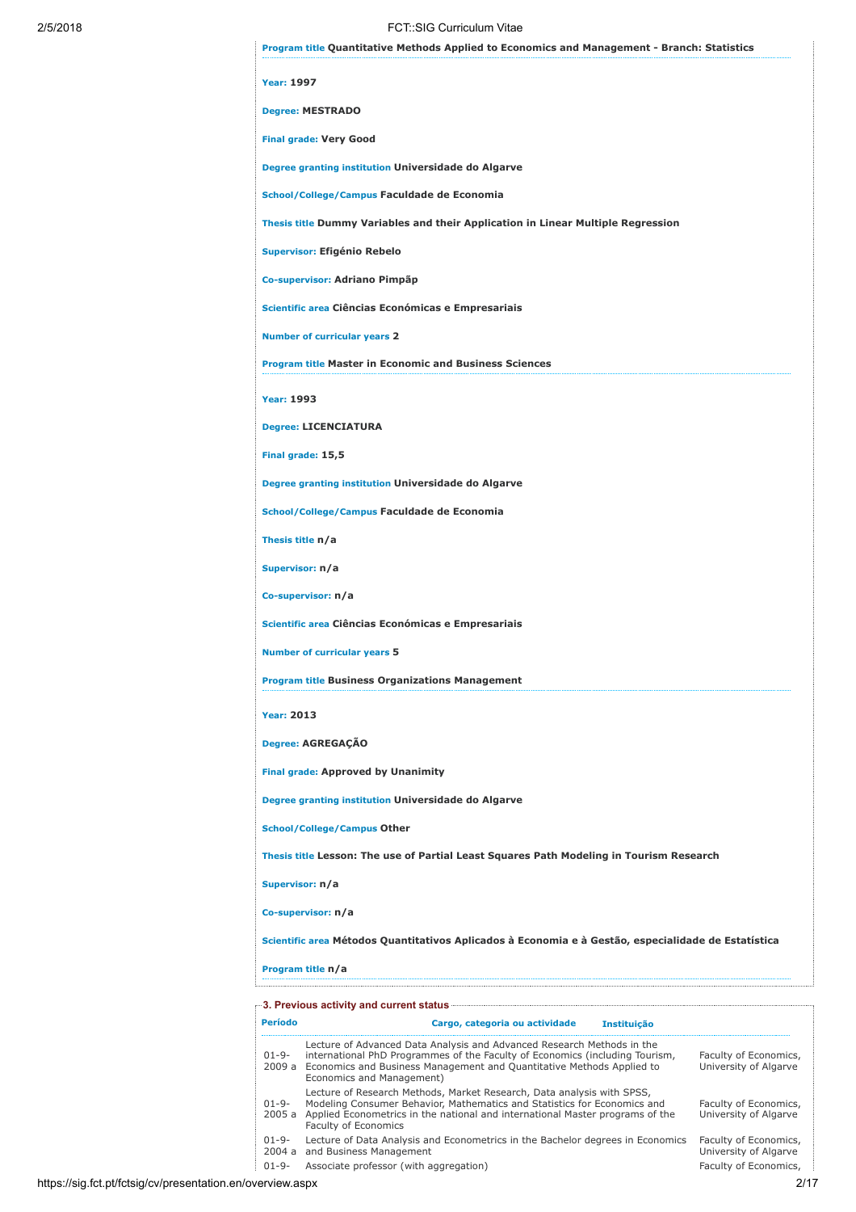| 2/5/2018 | FCT: SIG Curriculum Vitae                                                                                                                                                                                                                                                                                                                                                                                     |
|----------|---------------------------------------------------------------------------------------------------------------------------------------------------------------------------------------------------------------------------------------------------------------------------------------------------------------------------------------------------------------------------------------------------------------|
|          | <b>Program title Quantitative Methods Applied to Economics and Management - Branch: Statistics</b>                                                                                                                                                                                                                                                                                                            |
|          | <b>Year: 1997</b>                                                                                                                                                                                                                                                                                                                                                                                             |
|          | <b>Degree: MESTRADO</b>                                                                                                                                                                                                                                                                                                                                                                                       |
|          | <b>Final grade: Very Good</b>                                                                                                                                                                                                                                                                                                                                                                                 |
|          | Degree granting institution Universidade do Algarve                                                                                                                                                                                                                                                                                                                                                           |
|          | School/College/Campus Faculdade de Economia                                                                                                                                                                                                                                                                                                                                                                   |
|          | Thesis title Dummy Variables and their Application in Linear Multiple Regression                                                                                                                                                                                                                                                                                                                              |
|          | <b>Supervisor: Efigénio Rebelo</b>                                                                                                                                                                                                                                                                                                                                                                            |
|          | Co-supervisor: Adriano Pimpãp                                                                                                                                                                                                                                                                                                                                                                                 |
|          | Scientific area Ciências Económicas e Empresariais                                                                                                                                                                                                                                                                                                                                                            |
|          | <b>Number of curricular years 2</b>                                                                                                                                                                                                                                                                                                                                                                           |
|          | <b>Program title Master in Economic and Business Sciences</b>                                                                                                                                                                                                                                                                                                                                                 |
|          | <b>Year: 1993</b>                                                                                                                                                                                                                                                                                                                                                                                             |
|          | <b>Degree: LICENCIATURA</b>                                                                                                                                                                                                                                                                                                                                                                                   |
|          | Final grade: 15,5                                                                                                                                                                                                                                                                                                                                                                                             |
|          | Degree granting institution Universidade do Algarve                                                                                                                                                                                                                                                                                                                                                           |
|          | School/College/Campus Faculdade de Economia                                                                                                                                                                                                                                                                                                                                                                   |
|          | Thesis title n/a                                                                                                                                                                                                                                                                                                                                                                                              |
|          | Supervisor: n/a                                                                                                                                                                                                                                                                                                                                                                                               |
|          | Co-supervisor: n/a                                                                                                                                                                                                                                                                                                                                                                                            |
|          | Scientific area Ciências Económicas e Empresariais                                                                                                                                                                                                                                                                                                                                                            |
|          | <b>Number of curricular years 5</b>                                                                                                                                                                                                                                                                                                                                                                           |
|          | <b>Program title Business Organizations Management</b>                                                                                                                                                                                                                                                                                                                                                        |
|          | <b>Year: 2013</b>                                                                                                                                                                                                                                                                                                                                                                                             |
|          | Degree: AGREGAÇÃO                                                                                                                                                                                                                                                                                                                                                                                             |
|          | <b>Final grade: Approved by Unanimity</b>                                                                                                                                                                                                                                                                                                                                                                     |
|          | Degree granting institution Universidade do Algarve                                                                                                                                                                                                                                                                                                                                                           |
|          | <b>School/College/Campus Other</b>                                                                                                                                                                                                                                                                                                                                                                            |
|          | Thesis title Lesson: The use of Partial Least Squares Path Modeling in Tourism Research                                                                                                                                                                                                                                                                                                                       |
|          | Supervisor: n/a                                                                                                                                                                                                                                                                                                                                                                                               |
|          | Co-supervisor: n/a                                                                                                                                                                                                                                                                                                                                                                                            |
|          | Scientific area Métodos Quantitativos Aplicados à Economia e à Gestão, especialidade de Estatística                                                                                                                                                                                                                                                                                                           |
|          | Program title n/a                                                                                                                                                                                                                                                                                                                                                                                             |
|          |                                                                                                                                                                                                                                                                                                                                                                                                               |
|          | <b>Período</b><br>Cargo, categoria ou actividade<br><b>Instituição</b>                                                                                                                                                                                                                                                                                                                                        |
|          | Lecture of Advanced Data Analysis and Advanced Research Methods in the<br>international PhD Programmes of the Faculty of Economics (including Tourism,<br>$01 - 9 -$<br>Faculty of Economics,<br>2009 a Economics and Business Management and Quantitative Methods Applied to<br>University of Algarve<br>Economics and Management)<br>Lecture of Research Methods, Market Research, Data analysis with SPSS, |
|          | Modeling Consumer Behavior, Mathematics and Statistics for Economics and<br>Faculty of Economics,<br>$01 - 9 -$<br>2005 a Applied Econometrics in the national and international Master programs of the<br>University of Algarve<br>Faculty of Economics                                                                                                                                                      |

01-9- 2004 a Lecture of Data Analysis and Econometrics in the Bachelor degrees in Economics and Business Management 01-9- Associate professor (with aggregation) example and the extra Faculty of Economics,

Faculty of Economics, University of Algarve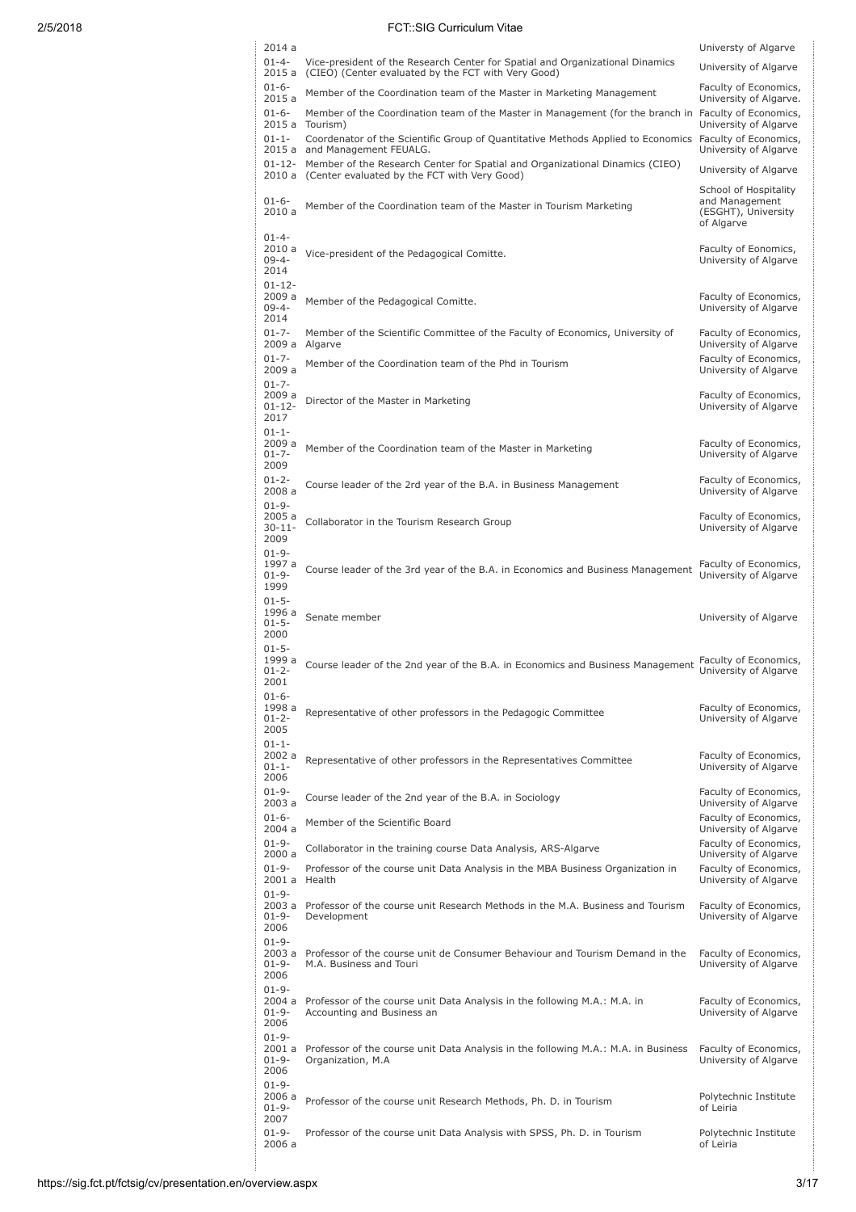| 2014a                                       |                                                                                                                                                            | Universty of Algarve                                                         |
|---------------------------------------------|------------------------------------------------------------------------------------------------------------------------------------------------------------|------------------------------------------------------------------------------|
| $01 - 4 -$<br>2015 a                        | Vice-president of the Research Center for Spatial and Organizational Dinamics<br>(CIEO) (Center evaluated by the FCT with Very Good)                       | University of Algarve                                                        |
| $01 - 6 -$<br>2015 a                        | Member of the Coordination team of the Master in Marketing Management                                                                                      | Faculty of Economics,<br>University of Algarve.                              |
| $01 - 6 -$                                  | Member of the Coordination team of the Master in Management (for the branch in Faculty of Economics,                                                       |                                                                              |
| $01 - 1 -$                                  | 2015 a Tourism)<br>Coordenator of the Scientific Group of Quantitative Methods Applied to Economics Faculty of Economics,<br>2015 a and Management FEUALG. | University of Algarve<br>University of Algarve                               |
| 01-12-                                      | Member of the Research Center for Spatial and Organizational Dinamics (CIEO)<br>2010 a (Center evaluated by the FCT with Very Good)                        | University of Algarve                                                        |
| $01 - 6 -$<br>2010a                         | Member of the Coordination team of the Master in Tourism Marketing                                                                                         | School of Hospitality<br>and Management<br>(ESGHT), University<br>of Algarve |
| $01 - 4 -$<br>2010a<br>$09 - 4 -$<br>2014   | Vice-president of the Pedagogical Comitte.                                                                                                                 | Faculty of Eonomics,<br>University of Algarve                                |
| $01 - 12 -$<br>2009 a<br>$09 - 4 -$<br>2014 | Member of the Pedagogical Comitte.                                                                                                                         | Faculty of Economics,<br>University of Algarve                               |
| $01 - 7 -$<br>2009 a                        | Member of the Scientific Committee of the Faculty of Economics, University of<br>Algarve                                                                   | Faculty of Economics,<br>University of Algarve                               |
| $01 - 7 -$<br>2009 a                        | Member of the Coordination team of the Phd in Tourism                                                                                                      | Faculty of Economics,<br>University of Algarve                               |
| $01 - 7 -$<br>2009 a<br>$01 - 12 -$<br>2017 | Director of the Master in Marketing                                                                                                                        | Faculty of Economics,<br>University of Algarve                               |
| $01 - 1 -$<br>2009 a<br>$01 - 7 -$<br>2009  | Member of the Coordination team of the Master in Marketing                                                                                                 | Faculty of Economics,<br>University of Algarve                               |
| $01 - 2 -$<br>2008 a                        | Course leader of the 2rd year of the B.A. in Business Management                                                                                           | Faculty of Economics,<br>University of Algarve                               |
| $01 - 9 -$<br>2005 a<br>$30 - 11 -$<br>2009 | Collaborator in the Tourism Research Group                                                                                                                 | Faculty of Economics,<br>University of Algarve                               |
| $01 - 9 -$<br>1997 a<br>$01 - 9 -$<br>1999  | Course leader of the 3rd year of the B.A. in Economics and Business Management                                                                             | Faculty of Economics,<br>University of Algarve                               |
|                                             |                                                                                                                                                            |                                                                              |
| $01 - 5 -$<br>1996 a<br>$01 - 5 -$<br>2000  | Senate member                                                                                                                                              | University of Algarve                                                        |
| $01 - 5 -$<br>1999 a<br>$01 - 2 -$<br>2001  | Course leader of the 2nd year of the B.A. in Economics and Business Management                                                                             | Faculty of Economics,<br>University of Algarve                               |
| $01 - 6 -$<br>1998 a<br>$01 - 2 -$<br>2005  | Representative of other professors in the Pedagogic Committee                                                                                              | Faculty of Economics,<br>University of Algarve                               |
| $01 - 1 -$<br>2002 a<br>$01 - 1 -$<br>2006  | Representative of other professors in the Representatives Committee                                                                                        | Faculty of Economics,<br>University of Algarve                               |
| $01 - 9 -$<br>2003 a                        | Course leader of the 2nd year of the B.A. in Sociology                                                                                                     | Faculty of Economics,<br>University of Algarve                               |
| $01 - 6 -$<br>2004a                         | Member of the Scientific Board                                                                                                                             | Faculty of Economics,<br>University of Algarve                               |
| $01 - 9 -$<br>2000a                         | Collaborator in the training course Data Analysis, ARS-Algarve                                                                                             | Faculty of Economics,<br>University of Algarve                               |
| $01 - 9 -$<br>2001 a Health                 | Professor of the course unit Data Analysis in the MBA Business Organization in                                                                             | Faculty of Economics,<br>University of Algarve                               |
| $01 - 9 -$<br>$01 - 9 -$<br>2006            | 2003 a Professor of the course unit Research Methods in the M.A. Business and Tourism<br>Development                                                       | Faculty of Economics,<br>University of Algarve                               |
| $01 - 9 -$<br>$01 - 9 -$<br>2006            | 2003 a Professor of the course unit de Consumer Behaviour and Tourism Demand in the<br>M.A. Business and Touri                                             | Faculty of Economics,<br>University of Algarve                               |
| $01 - 9 -$<br>2004 a<br>$01 - 9 -$<br>2006  | Professor of the course unit Data Analysis in the following M.A.: M.A. in<br>Accounting and Business an                                                    | Faculty of Economics,<br>University of Algarve                               |
| $01 - 9 -$<br>2001 a<br>$01 - 9 -$<br>2006  | Professor of the course unit Data Analysis in the following M.A.: M.A. in Business<br>Organization, M.A                                                    | Faculty of Economics,<br>University of Algarve                               |
| $01 - 9 -$<br>2006 a<br>$01 - 9 -$<br>2007  | Professor of the course unit Research Methods, Ph. D. in Tourism                                                                                           | Polytechnic Institute<br>of Leiria                                           |

ļ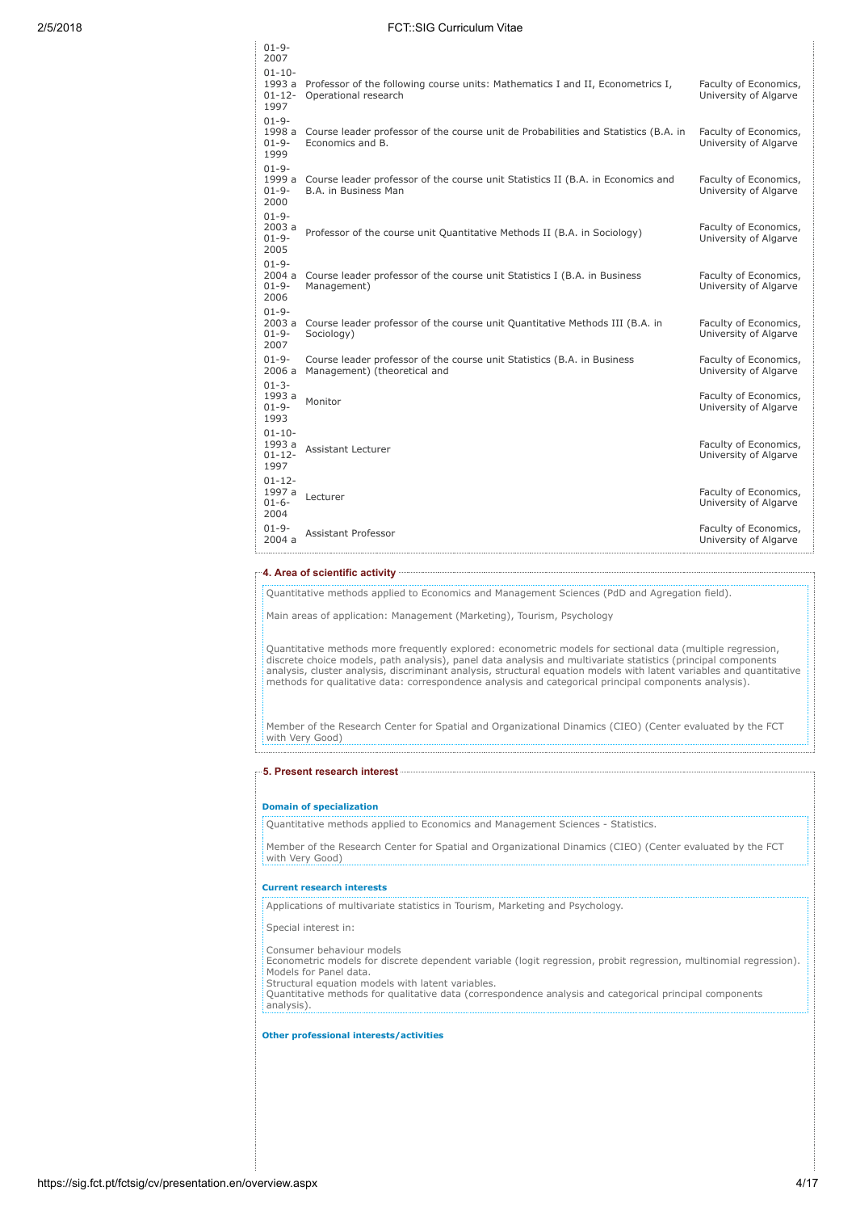| $01 - 10 -$<br>1993 a<br>Professor of the following course units: Mathematics I and II, Econometrics I,<br>Faculty of Economics,<br>$01 - 12 -$<br>Operational research<br>University of Algarve<br>1997<br>$01 - 9 -$<br>1998 a<br>Course leader professor of the course unit de Probabilities and Statistics (B.A. in<br>Faculty of Economics,<br>$01 - 9 -$<br>Economics and B.<br>University of Algarve<br>1999<br>$01 - 9 -$ |
|-----------------------------------------------------------------------------------------------------------------------------------------------------------------------------------------------------------------------------------------------------------------------------------------------------------------------------------------------------------------------------------------------------------------------------------|
|                                                                                                                                                                                                                                                                                                                                                                                                                                   |
|                                                                                                                                                                                                                                                                                                                                                                                                                                   |
| 1999 a<br>Course leader professor of the course unit Statistics II (B.A. in Economics and<br>Faculty of Economics,<br>$01 - 9 -$<br>B.A. in Business Man<br>University of Algarve<br>2000                                                                                                                                                                                                                                         |
| $01 - 9 -$<br>2003a<br>Faculty of Economics,<br>Professor of the course unit Quantitative Methods II (B.A. in Sociology)<br>$01 - 9 -$<br>University of Algarve<br>2005                                                                                                                                                                                                                                                           |
| $01 - 9 -$<br>2004a<br>Course leader professor of the course unit Statistics I (B.A. in Business<br>Faculty of Economics,<br>$01 - 9 -$<br>Management)<br>University of Algarve<br>2006                                                                                                                                                                                                                                           |
| $01 - 9 -$<br>Course leader professor of the course unit Quantitative Methods III (B.A. in<br>2003a<br>Faculty of Economics,<br>Sociology)<br>University of Algarve<br>$01 - 9 -$<br>2007                                                                                                                                                                                                                                         |
| $01 - 9 -$<br>Course leader professor of the course unit Statistics (B.A. in Business<br>Faculty of Economics,<br>2006 a<br>Management) (theoretical and<br>University of Algarve                                                                                                                                                                                                                                                 |
| $01 - 3 -$<br>1993 a<br>Faculty of Economics,<br>Monitor<br>$01 - 9 -$<br>University of Algarve<br>1993                                                                                                                                                                                                                                                                                                                           |
| $01 - 10 -$<br>1993 a<br>Faculty of Economics,<br>Assistant Lecturer<br>University of Algarve<br>$01 - 12 -$<br>1997                                                                                                                                                                                                                                                                                                              |
| $01 - 12 -$<br>1997 a<br>Faculty of Economics,<br>Lecturer<br>$01 - 6 -$<br>University of Algarve<br>2004                                                                                                                                                                                                                                                                                                                         |
| $01 - 9 -$<br>Faculty of Economics,<br><b>Assistant Professor</b><br>2004a<br>University of Algarve                                                                                                                                                                                                                                                                                                                               |

## 4. Area of scientific activity

 $01-9-$ 

Quantitative methods applied to Economics and Management Sciences (PdD and Agregation field).

Main areas of application: Management (Marketing), Tourism, Psychology

Quantitative methods more frequently explored: econometric models for sectional data (multiple regression,<br>discrete choice models, path analysis), panel data analysis and multivariate statistics (principal components<br>analy methods for qualitative data: correspondence analysis and categorical principal components analysis).

Member of the Research Center for Spatial and Organizational Dinamics (CIEO) (Center evaluated by the FCT with Very Good)

5. Present research interest

### Domain of specialization

Quantitative methods applied to Economics and Management Sciences - Statistics.

Member of the Research Center for Spatial and Organizational Dinamics (CIEO) (Center evaluated by the FCT with Very Good)

### Current research interests

Applications of multivariate statistics in Tourism, Marketing and Psychology.

Special interest in:

Consumer behaviour models

Econometric models for discrete dependent variable (logit regression, probit regression, multinomial regression). Models for Panel data. Structural equation models with latent variables.

Quantitative methods for qualitative data (correspondence analysis and categorical principal components analysis).

## Other professional interests/activities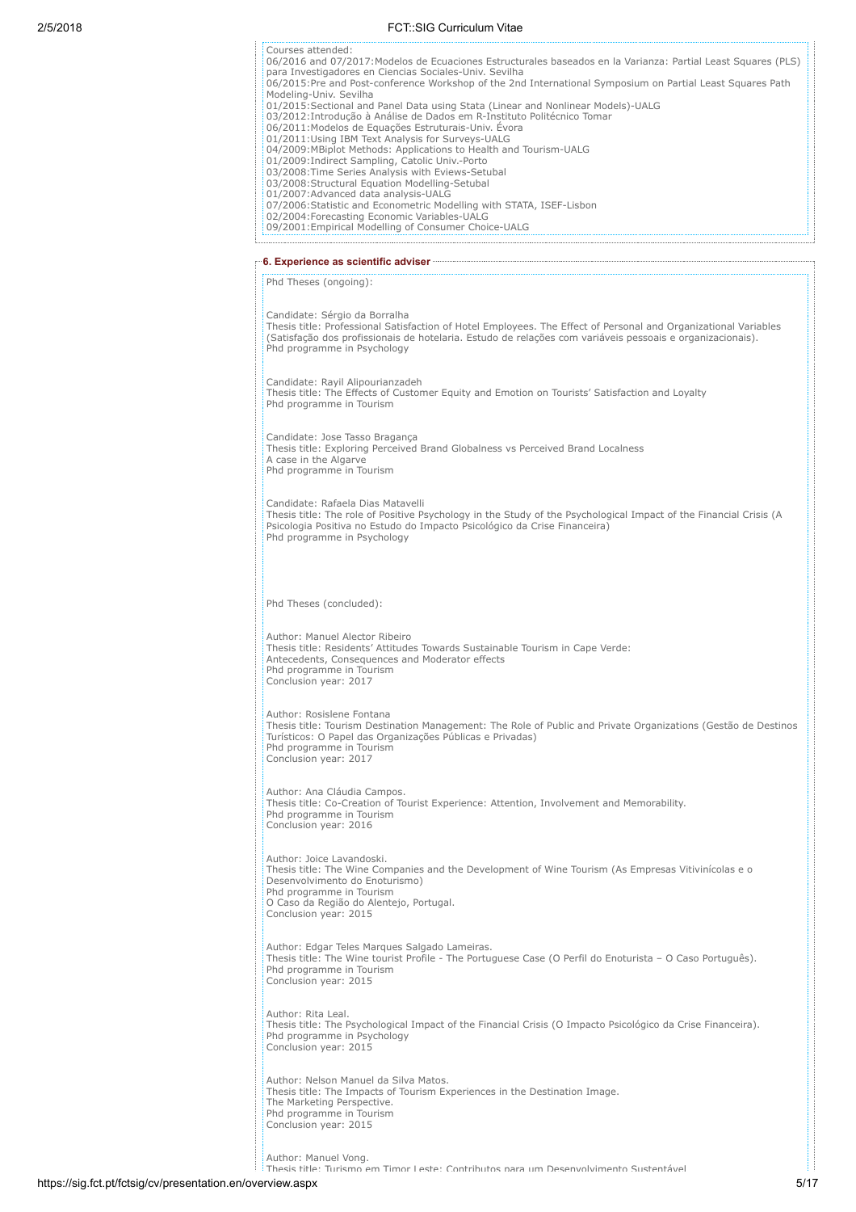| Courses attended:<br>06/2016 and 07/2017: Modelos de Ecuaciones Estructurales baseados en la Varianza: Partial Least Squares (PLS)<br>para Investigadores en Ciencias Sociales-Univ. Sevilha<br>06/2015:Pre and Post-conference Workshop of the 2nd International Symposium on Partial Least Squares Path |  |
|-----------------------------------------------------------------------------------------------------------------------------------------------------------------------------------------------------------------------------------------------------------------------------------------------------------|--|
| Modeling-Univ. Sevilha<br>01/2015: Sectional and Panel Data using Stata (Linear and Nonlinear Models)-UALG<br>03/2012: Introdução à Análise de Dados em R-Instituto Politécnico Tomar                                                                                                                     |  |
| 06/2011: Modelos de Equações Estruturais-Univ. Évora<br>01/2011:Using IBM Text Analysis for Surveys-UALG<br>04/2009: MBiplot Methods: Applications to Health and Tourism-UALG                                                                                                                             |  |
| 01/2009: Indirect Sampling, Catolic Univ.-Porto<br>03/2008: Time Series Analysis with Eviews-Setubal<br>03/2008: Structural Equation Modelling-Setubal                                                                                                                                                    |  |
| 01/2007: Advanced data analysis-UALG<br>07/2006: Statistic and Econometric Modelling with STATA, ISEF-Lisbon<br>02/2004: Forecasting Economic Variables-UALG                                                                                                                                              |  |
| 09/2001: Empirical Modelling of Consumer Choice-UALG                                                                                                                                                                                                                                                      |  |
| Phd Theses (ongoing):                                                                                                                                                                                                                                                                                     |  |
| Candidate: Sérgio da Borralha                                                                                                                                                                                                                                                                             |  |
| Thesis title: Professional Satisfaction of Hotel Employees. The Effect of Personal and Organizational Variables<br>(Satisfação dos profissionais de hotelaria. Estudo de relações com variáveis pessoais e organizacionais).<br>Phd programme in Psychology                                               |  |
| Candidate: Rayil Alipourianzadeh<br>Thesis title: The Effects of Customer Equity and Emotion on Tourists' Satisfaction and Loyalty<br>Phd programme in Tourism                                                                                                                                            |  |
| Candidate: Jose Tasso Bragança<br>Thesis title: Exploring Perceived Brand Globalness vs Perceived Brand Localness                                                                                                                                                                                         |  |
| A case in the Algarve<br>Phd programme in Tourism                                                                                                                                                                                                                                                         |  |
| Candidate: Rafaela Dias Matavelli<br>Thesis title: The role of Positive Psychology in the Study of the Psychological Impact of the Financial Crisis (A<br>Psicologia Positiva no Estudo do Impacto Psicológico da Crise Financeira)<br>Phd programme in Psychology                                        |  |
| Phd Theses (concluded):<br>Author: Manuel Alector Ribeiro<br>Thesis title: Residents' Attitudes Towards Sustainable Tourism in Cape Verde:                                                                                                                                                                |  |
| Antecedents, Consequences and Moderator effects<br>Phd programme in Tourism<br>Conclusion year: 2017                                                                                                                                                                                                      |  |
| Author: Rosislene Fontana<br>Thesis title: Tourism Destination Management: The Role of Public and Private Organizations (Gestão de Destinos<br>Turísticos: O Papel das Organizações Públicas e Privadas)<br>Phd programme in Tourism<br>Conclusion year: 2017                                             |  |
| Author: Ana Cláudia Campos.<br>Thesis title: Co-Creation of Tourist Experience: Attention, Involvement and Memorability.<br>Phd programme in Tourism<br>Conclusion year: 2016                                                                                                                             |  |
| Author: Joice Lavandoski.<br>Thesis title: The Wine Companies and the Development of Wine Tourism (As Empresas Vitivinícolas e o<br>Desenvolvimento do Enoturismo)<br>Phd programme in Tourism<br>O Caso da Região do Alentejo, Portugal.<br>Conclusion year: 2015                                        |  |
| Author: Edgar Teles Marques Salgado Lameiras.<br>Thesis title: The Wine tourist Profile - The Portuguese Case (O Perfil do Enoturista - O Caso Português).<br>Phd programme in Tourism<br>Conclusion year: 2015                                                                                           |  |
| Author: Rita Leal.<br>Thesis title: The Psychological Impact of the Financial Crisis (O Impacto Psicológico da Crise Financeira).<br>Phd programme in Psychology<br>Conclusion year: 2015                                                                                                                 |  |
| Author: Nelson Manuel da Silva Matos.<br>Thesis title: The Impacts of Tourism Experiences in the Destination Image.<br>The Marketing Perspective.<br>Phd programme in Tourism<br>Conclusion year: 2015                                                                                                    |  |
| Author: Manuel Vong.<br>Thesis title: Turismo em Timor Leste: Contributos nara um Desenvolvimento Sustentável                                                                                                                                                                                             |  |

https://sig.fct.pt/fctsig/cv/presentation.en/overview.aspx 5/17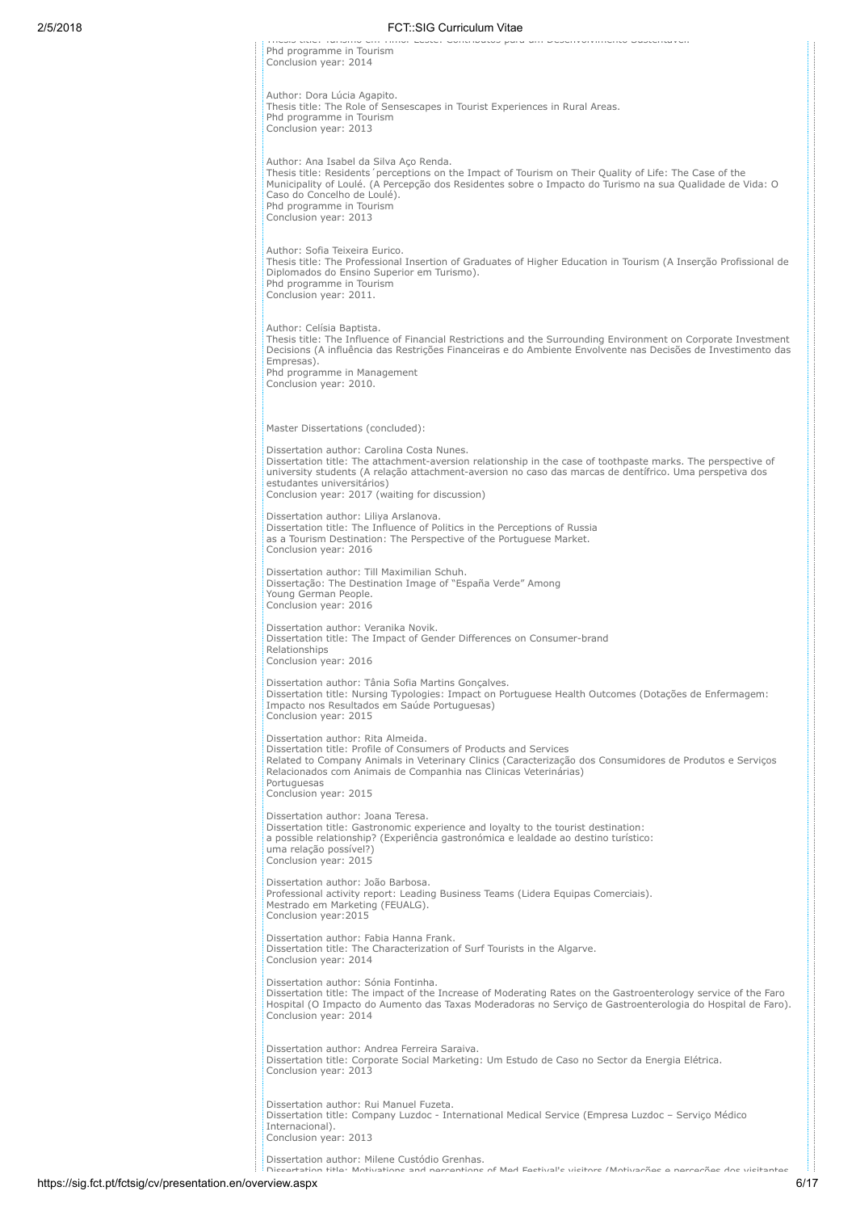| 2/5/2018 | <b>FCT::SIG Curriculum Vitae</b>                                                                                                                                                                                                                                                                                                                      |
|----------|-------------------------------------------------------------------------------------------------------------------------------------------------------------------------------------------------------------------------------------------------------------------------------------------------------------------------------------------------------|
|          | media utile, i umanno em i minor ecace, continuatoa pura um praemorminento quacenturen.<br>Phd programme in Tourism<br>Conclusion year: 2014                                                                                                                                                                                                          |
|          | Author: Dora Lúcia Agapito.<br>Thesis title: The Role of Sensescapes in Tourist Experiences in Rural Areas.<br>Phd programme in Tourism<br>Conclusion year: 2013                                                                                                                                                                                      |
|          | Author: Ana Isabel da Silva Aço Renda.<br>Thesis title: Residents perceptions on the Impact of Tourism on Their Quality of Life: The Case of the<br>Municipality of Loulé. (A Percepção dos Residentes sobre o Impacto do Turismo na sua Qualidade de Vida: O<br>Caso do Concelho de Loulé).<br>Phd programme in Tourism<br>Conclusion year: 2013     |
|          | Author: Sofia Teixeira Eurico.<br>Thesis title: The Professional Insertion of Graduates of Higher Education in Tourism (A Inserção Profissional de<br>Diplomados do Ensino Superior em Turismo).<br>Phd programme in Tourism<br>Conclusion year: 2011.                                                                                                |
|          | Author: Celísia Baptista.<br>Thesis title: The Influence of Financial Restrictions and the Surrounding Environment on Corporate Investment<br>Decisions (A influência das Restrições Financeiras e do Ambiente Envolvente nas Decisões de Investimento das<br>Empresas).<br>Phd programme in Management<br>Conclusion year: 2010.                     |
|          | Master Dissertations (concluded):                                                                                                                                                                                                                                                                                                                     |
|          | Dissertation author: Carolina Costa Nunes.<br>Dissertation title: The attachment-aversion relationship in the case of toothpaste marks. The perspective of<br>university students (A relação attachment-aversion no caso das marcas de dentífrico. Uma perspetiva dos<br>estudantes universitários)<br>Conclusion year: 2017 (waiting for discussion) |
|          | Dissertation author: Liliya Arslanova.<br>Dissertation title: The Influence of Politics in the Perceptions of Russia<br>as a Tourism Destination: The Perspective of the Portuguese Market.<br>Conclusion year: 2016                                                                                                                                  |
|          | Dissertation author: Till Maximilian Schuh.<br>Dissertação: The Destination Image of "España Verde" Among<br>Young German People.<br>Conclusion year: 2016                                                                                                                                                                                            |
|          | Dissertation author: Veranika Novik.<br>Dissertation title: The Impact of Gender Differences on Consumer-brand<br>Relationships<br>Conclusion year: 2016                                                                                                                                                                                              |
|          | Dissertation author: Tânia Sofia Martins Gonçalves.<br>Dissertation title: Nursing Typologies: Impact on Portuguese Health Outcomes (Dotações de Enfermagem:<br>Impacto nos Resultados em Saúde Portuguesas)<br>Conclusion year: 2015                                                                                                                 |
|          | Dissertation author: Rita Almeida.<br>Dissertation title: Profile of Consumers of Products and Services<br>Related to Company Animals in Veterinary Clinics (Caracterização dos Consumidores de Produtos e Serviços<br>Relacionados com Animais de Companhia nas Clinicas Veterinárias)<br>Portuguesas<br>Conclusion year: 2015                       |
|          | Dissertation author: Joana Teresa.<br>Dissertation title: Gastronomic experience and loyalty to the tourist destination:<br>a possible relationship? (Experiência gastronómica e lealdade ao destino turístico:<br>uma relação possível?)<br>Conclusion year: 2015                                                                                    |
|          | Dissertation author: João Barbosa.<br>Professional activity report: Leading Business Teams (Lidera Equipas Comerciais).<br>Mestrado em Marketing (FEUALG).<br>Conclusion year: 2015                                                                                                                                                                   |
|          | Dissertation author: Fabia Hanna Frank.<br>Dissertation title: The Characterization of Surf Tourists in the Algarve.<br>Conclusion year: 2014                                                                                                                                                                                                         |
|          | Dissertation author: Sónia Fontinha.<br>Dissertation title: The impact of the Increase of Moderating Rates on the Gastroenterology service of the Faro<br>Hospital (O Impacto do Aumento das Taxas Moderadoras no Serviço de Gastroenterologia do Hospital de Faro).<br>Conclusion year: 2014                                                         |
|          | Dissertation author: Andrea Ferreira Saraiva.<br>Dissertation title: Corporate Social Marketing: Um Estudo de Caso no Sector da Energia Elétrica.<br>Conclusion year: 2013                                                                                                                                                                            |
|          | Dissertation author: Rui Manuel Fuzeta.<br>Dissertation title: Company Luzdoc - International Medical Service (Empresa Luzdoc - Serviço Médico<br>Internacional).<br>Conclusion year: 2013                                                                                                                                                            |
|          | Dissertation author: Milene Custódio Grenhas.<br>Diccortation title: Motivations and norsentions of Mod Eostival's visitors (Motivações o norseções dos visitantos                                                                                                                                                                                    |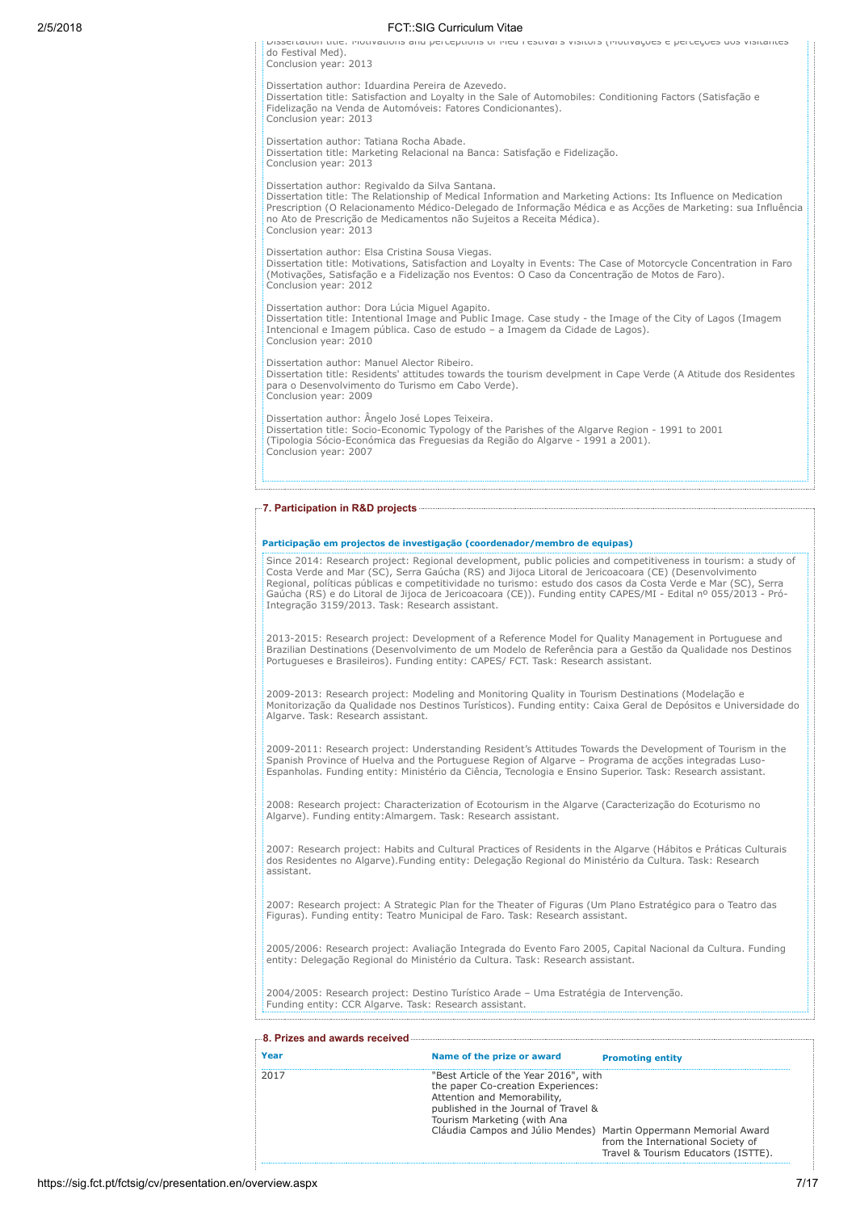Dissertation title: Motivations and perceptions of Med Festival s visitors (Motivações e perceções dos visitantes do Festival Med). Conclusion year: 2013 Dissertation author: Iduardina Pereira de Azevedo. Dissertation title: Satisfaction and Loyalty in the Sale of Automobiles: Conditioning Factors (Satisfação e Fidelização na Venda de Automóveis: Fatores Condicionantes). Conclusion year: 2013

Dissertation author: Tatiana Rocha Abade. Dissertation title: Marketing Relacional na Banca: Satisfação e Fidelização. Conclusion year: 2013

Dissertation author: Regivaldo da Silva Santana.

Dissertation title: The Relationship of Medical Information and Marketing Actions: Its Influence on Medication<br>Prescription (O Relacionamento Médico-Delegado de Informação Médica e as Acções de Marketing: sua Influência<br>no Conclusion year: 2013

Dissertation author: Elsa Cristina Sousa Viegas. Dissertation title: Motivations, Satisfaction and Loyalty in Events: The Case of Motorcycle Concentration in Faro (Motivações, Satisfação e a Fidelização nos Eventos: O Caso da Concentração de Motos de Faro). Conclusion year: 2012

Dissertation author: Dora Lúcia Miguel Agapito. Dissertation title: Intentional Image and Public Image. Case study - the Image of the City of Lagos (Imagem Intencional e Imagem pública. Caso de estudo – a Imagem da Cidade de Lagos). Conclusion year: 2010

Dissertation author: Manuel Alector Ribeiro. Dissertation title: Residents' attitudes towards the tourism develpment in Cape Verde (A Atitude dos Residentes para o Desenvolvimento do Turismo em Cabo Verde). Conclusion year: 2009

Dissertation author: Ängelo José Lopes Teixeira.<br>Dissertation title: Socio-Economic Typology of the Parishes of the Algarve Region - 1991 to 2001<br>(Tipologia Sócio-Económica das Freguesias da Região do Algarve - 1991 a 2001 Conclusion year: 2007

### 7. Participation in R&D projects

| Participação em projectos de investigação (coordenador/membro de equipas) |  |
|---------------------------------------------------------------------------|--|
|                                                                           |  |

Since 2014: Research project: Regional development, public policies and competitiveness in tourism: a study of Costa Verde and Mar (SC), Serra Gaúcha (RS) and Jijoca Litoral de Jericoacoara (CE) (Desenvolvimento Regional, políticas públicas e competitividade no turismo: estudo dos casos da Costa Verde e Mar (SC), Serra Gaúcha (RS) e do Litoral de Jijoca de Jericoacoara (CE)). Funding entity CAPES/MI - Edital nº 055/2013 - Pró-Integração 3159/2013. Task: Research assistant.

2013-2015: Research project: Development of a Reference Model for Quality Management in Portuguese and Brazilian Destinations (Desenvolvimento de um Modelo de Referência para a Gestão da Qualidade nos Destinos Portugueses e Brasileiros). Funding entity: CAPES/ FCT. Task: Research assistant.

2009-2013: Research project: Modeling and Monitoring Quality in Tourism Destinations (Modelação e Monitorização da Qualidade nos Destinos Turísticos). Funding entity: Caixa Geral de Depósitos e Universidade do Algarve. Task: Research assistant.

2009-2011: Research project: Understanding Resident's Attitudes Towards the Development of Tourism in the<br>Spanish Province of Huelva and the Portuguese Region of Algarve – Programa de acções integradas Luso-<br>Espanholas. Fu

2008: Research project: Characterization of Ecotourism in the Algarve (Caracterização do Ecoturismo no Algarve). Funding entity:Almargem. Task: Research assistant.

2007: Research project: Habits and Cultural Practices of Residents in the Algarve (Hábitos e Práticas Culturais dos Residentes no Algarve).Funding entity: Delegação Regional do Ministério da Cultura. Task: Research assistant.

2007: Research project: A Strategic Plan for the Theater of Figuras (Um Plano Estratégico para o Teatro das Figuras). Funding entity: Teatro Municipal de Faro. Task: Research assistant.

2005/2006: Research project: Avaliação Integrada do Evento Faro 2005, Capital Nacional da Cultura. Funding entity: Delegação Regional do Ministério da Cultura. Task: Research assistant.

2004/2005: Research project: Destino Turístico Arade – Uma Estratégia de Intervenção. Funding entity: CCR Algarve. Task: Research assistant.

| 8. Prizes and awards received |                                                                                                                                                                                   |                                                                                                                                              |
|-------------------------------|-----------------------------------------------------------------------------------------------------------------------------------------------------------------------------------|----------------------------------------------------------------------------------------------------------------------------------------------|
| Year                          | Name of the prize or award                                                                                                                                                        | <b>Promoting entity</b>                                                                                                                      |
| 2017                          | "Best Article of the Year 2016", with<br>the paper Co-creation Experiences:<br>Attention and Memorability,<br>published in the Journal of Travel &<br>Tourism Marketing (with Ana | Cláudia Campos and Júlio Mendes) Martin Oppermann Memorial Award<br>from the International Society of<br>Travel & Tourism Educators (ISTTE). |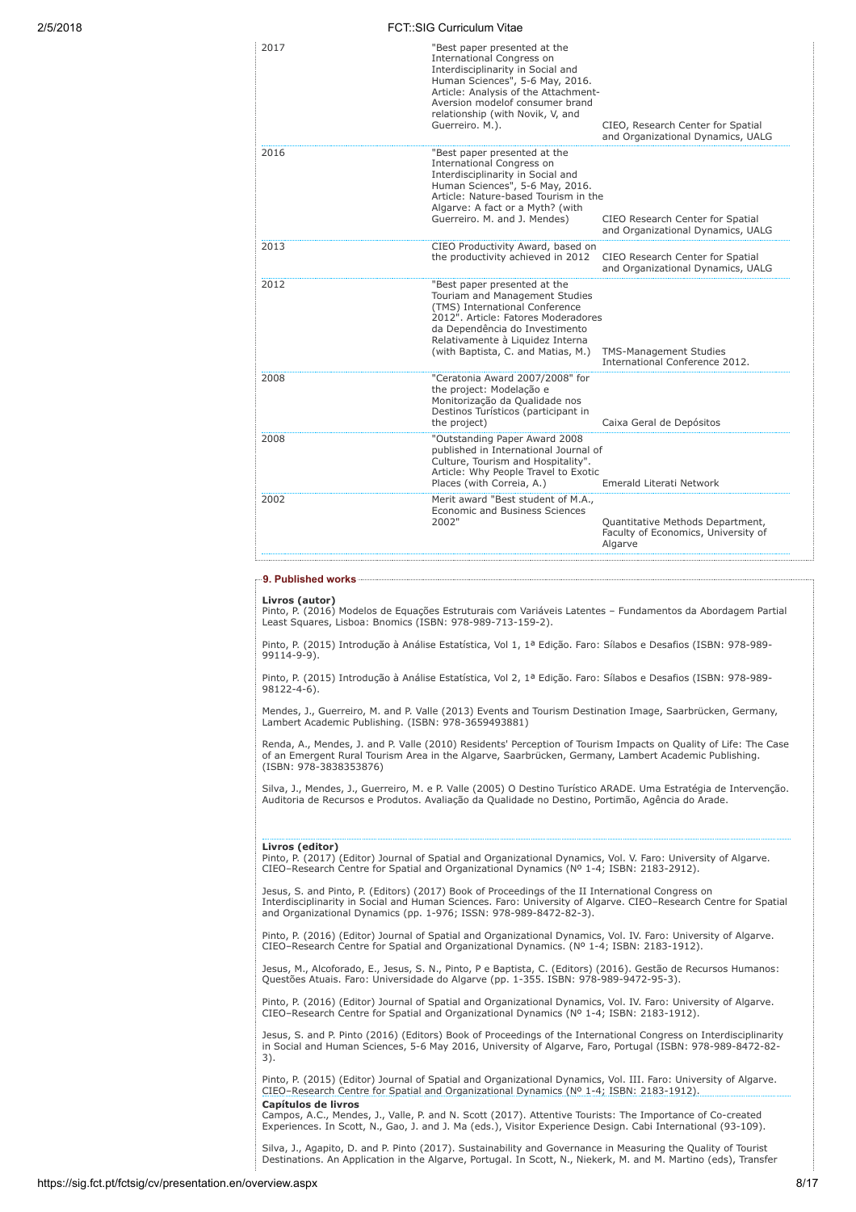| 2017 | "Best paper presented at the<br><b>International Congress on</b><br>Interdisciplinarity in Social and<br>Human Sciences", 5-6 May, 2016.<br>Article: Analysis of the Attachment-<br>Aversion modelof consumer brand<br>relationship (with Novik, V, and<br>Guerreiro. M.). | CIEO, Research Center for Spatial<br>and Organizational Dynamics, UALG             |
|------|----------------------------------------------------------------------------------------------------------------------------------------------------------------------------------------------------------------------------------------------------------------------------|------------------------------------------------------------------------------------|
| 2016 | "Best paper presented at the<br><b>International Congress on</b><br>Interdisciplinarity in Social and<br>Human Sciences", 5-6 May, 2016.<br>Article: Nature-based Tourism in the<br>Algarve: A fact or a Myth? (with<br>Guerreiro. M. and J. Mendes)                       | CIEO Research Center for Spatial<br>and Organizational Dynamics, UALG              |
| 2013 | CIEO Productivity Award, based on<br>the productivity achieved in 2012                                                                                                                                                                                                     | CIEO Research Center for Spatial<br>and Organizational Dynamics, UALG              |
| 2012 | "Best paper presented at the<br>Touriam and Management Studies<br>(TMS) International Conference<br>2012". Article: Fatores Moderadores<br>da Dependência do Investimento<br>Relativamente à Liquidez Interna<br>(with Baptista, C. and Matias, M.)                        | <b>TMS-Management Studies</b><br>International Conference 2012.                    |
| 2008 | "Ceratonia Award 2007/2008" for<br>the project: Modelação e<br>Monitorização da Qualidade nos<br>Destinos Turísticos (participant in<br>the project)                                                                                                                       | Caixa Geral de Depósitos                                                           |
| 2008 | "Outstanding Paper Award 2008<br>published in International Journal of<br>Culture, Tourism and Hospitality".<br>Article: Why People Travel to Exotic<br>Places (with Correia, A.)                                                                                          | Emerald Literati Network                                                           |
| 2002 | Merit award "Best student of M.A.,<br>Economic and Business Sciences<br>2002"                                                                                                                                                                                              | Quantitative Methods Department,<br>Faculty of Economics, University of<br>Algarve |
|      |                                                                                                                                                                                                                                                                            |                                                                                    |

# 9. Published works

Livros (autor)

Pinto, P. (2016) Modelos de Equações Estruturais com Variáveis Latentes – Fundamentos da Abordagem Partial Least Squares, Lisboa: Bnomics (ISBN: 978-989-713-159-2).

Pinto, P. (2015) Introdução à Análise Estatística, Vol 1, 1ª Edição. Faro: Sílabos e Desafios (ISBN: 978-989- 99114-9-9).

Pinto, P. (2015) Introdução à Análise Estatística, Vol 2, 1ª Edição. Faro: Sílabos e Desafios (ISBN: 978-989- 98122-4-6).

Mendes, J., Guerreiro, M. and P. Valle (2013) Events and Tourism Destination Image, Saarbrücken, Germany, Lambert Academic Publishing. (ISBN: 978-3659493881)

Renda, A., Mendes, J. and P. Valle (2010) Residents' Perception of Tourism Impacts on Quality of Life: The Case of an Emergent Rural Tourism Area in the Algarve, Saarbrücken, Germany, Lambert Academic Publishing. (ISBN: 978-3838353876)

Silva, J., Mendes, J., Guerreiro, M. e P. Valle (2005) O Destino Turístico ARADE. Uma Estratégia de Intervenção. Auditoria de Recursos e Produtos. Avaliação da Qualidade no Destino, Portimão, Agência do Arade.

**Livros (editor)**<br>Pinto, P. (2017) (Editor) Journal of Spatial and Organizational Dynamics, Vol. V. Faro: University of Algarve.<br>CIEO–Research Centre for Spatial and Organizational Dynamics (Nº 1-4; ISBN: 2183-2912).

Jesus, S. and Pinto, P. (Editors) (2017) Book of Proceedings of the II International Congress on<br>Interdisciplinarity in Social and Human Sciences. Faro: University of Algarve. CIEO–Research Centre for Spatial<br>and Organizat

Pinto, P. (2016) (Editor) Journal of Spatial and Organizational Dynamics, Vol. IV. Faro: University of Algarve. CIEO–Research Centre for Spatial and Organizational Dynamics. (Nº 1-4; ISBN: 2183-1912).

Jesus, M., Alcoforado, E., Jesus, S. N., Pinto, P e Baptista, C. (Editors) (2016). Gestão de Recursos Humanos: Questões Atuais. Faro: Universidade do Algarve (pp. 1-355. ISBN: 978-989-9472-95-3).

Pinto, P. (2016) (Editor) Journal of Spatial and Organizational Dynamics, Vol. IV. Faro: University of Algarve. CIEO–Research Centre for Spatial and Organizational Dynamics (Nº 1-4; ISBN: 2183-1912).

Jesus, S. and P. Pinto (2016) (Editors) Book of Proceedings of the International Congress on Interdisciplinarity in Social and Human Sciences, 5-6 May 2016, University of Algarve, Faro, Portugal (ISBN: 978-989-8472-82- 3).

Pinto, P. (2015) (Editor) Journal of Spatial and Organizational Dynamics, Vol. III. Faro: University of Algarve.<br>CIEO–Research Centre for Spatial and Organizational Dynamics (№ 1-4; ISBN: 2183-1912). Capítulos de livros

Campos, A.C., Mendes, J., Valle, P. and N. Scott (2017). Attentive Tourists: The Importance of Co-created Experiences. In Scott, N., Gao, J. and J. Ma (eds.), Visitor Experience Design. Cabi International (93-109).

Silva, J., Agapito, D. and P. Pinto (2017). Sustainability and Governance in Measuring the Quality of Tourist Destinations. An Application in the Algarve, Portugal. In Scott, N., Niekerk, M. and M. Martino (eds), Transfer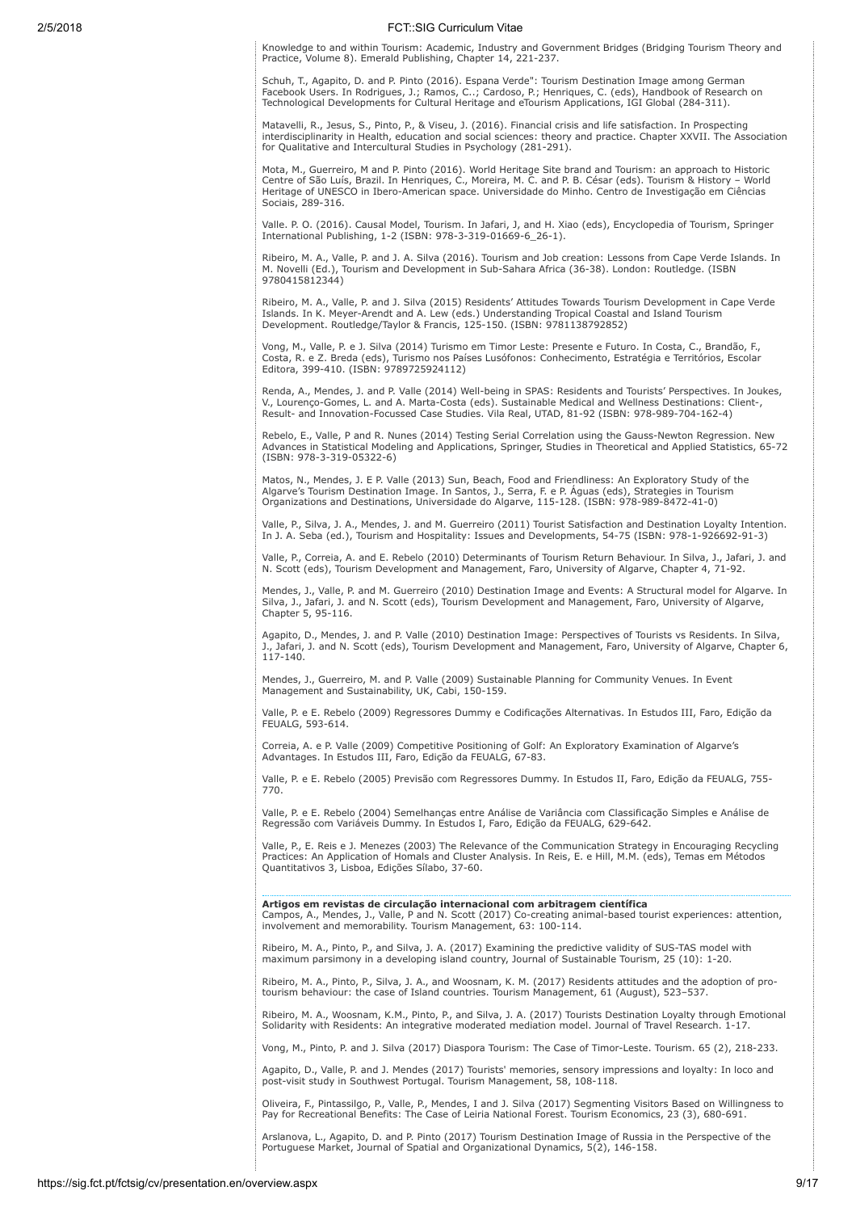Knowledge to and within Tourism: Academic, Industry and Government Bridges (Bridging Tourism Theory and Practice, Volume 8). Emerald Publishing, Chapter 14, 221-237.

Schuh, T., Agapito, D. and P. Pinto (2016). Espana Verde": Tourism Destination Image among German Facebook Users. In Rodrigues, J.; Ramos, C..; Cardoso, P.; Henriques, C. (eds), Handbook of Research on Technological Developments for Cultural Heritage and eTourism Applications, IGI Global (284-311).

Matavelli, R., Jesus, S., Pinto, P., & Viseu, J. (2016). Financial crisis and life satisfaction. In Prospecting interdisciplinarity in Health, education and social sciences: theory and practice. Chapter XXVII. The Association for Qualitative and Intercultural Studies in Psychology (281-291).

Mota, M., Guerreiro, M and P. Pinto (2016). World Heritage Site brand and Tourism: an approach to Historic Centre of São Luís, Brazil. In Henriques, C., Moreira, M. C. and P. B. César (eds). Tourism & History – World Heritage of UNESCO in Ibero-American space. Universidade do Minho. Centro de Investigação em Ciências Sociais, 289-316.

Valle. P. O. (2016). Causal Model, Tourism. In Jafari, J, and H. Xiao (eds), Encyclopedia of Tourism, Springer International Publishing, 1-2 (ISBN: 978-3-319-01669-6\_26-1).

Ribeiro, M. A., Valle, P. and J. A. Silva (2016). Tourism and Job creation: Lessons from Cape Verde Islands. In M. Novelli (Ed.), Tourism and Development in Sub-Sahara Africa (36-38). London: Routledge. (ISBN 9780415812344)

Ribeiro, M. A., Valle, P. and J. Silva (2015) Residents' Attitudes Towards Tourism Development in Cape Verde<br>Islands. In K. Meyer-Arendt and A. Lew (eds.) Understanding Tropical Coastal and Island Tourism<br>Development. Rout

Vong, M., Valle, P. e J. Silva (2014) Turismo em Timor Leste: Presente e Futuro. In Costa, C., Brandão, F., Costa, R. e Z. Breda (eds), Turismo nos Países Lusófonos: Conhecimento, Estratégia e Territórios, Escolar Editora, 399-410. (ISBN: 9789725924112)

Renda, A., Mendes, J. and P. Valle (2014) Well-being in SPAS: Residents and Tourists' Perspectives. In Joukes, V., Lourenço-Gomes, L. and A. Marta-Costa (eds). Sustainable Medical and Wellness Destinations: Client-, Result- and Innovation-Focussed Case Studies. Vila Real, UTAD, 81-92 (ISBN: 978-989-704-162-4)

Rebelo, E., Valle, P and R. Nunes (2014) Testing Serial Correlation using the Gauss-Newton Regression. New Advances in Statistical Modeling and Applications, Springer, Studies in Theoretical and Applied Statistics, 65-72 (ISBN: 978-3-319-05322-6)

Matos, N., Mendes, J. E P. Valle (2013) Sun, Beach, Food and Friendliness: An Exploratory Study of the Algarve's Tourism Destination Image. In Santos, J., Serra, F. e P. Águas (eds), Strategies in Tourism Organizations and Destinations, Universidade do Algarve, 115-128. (ISBN: 978-989-8472-41-0)

Valle, P., Silva, J. A., Mendes, J. and M. Guerreiro (2011) Tourist Satisfaction and Destination Loyalty Intention. In J. A. Seba (ed.), Tourism and Hospitality: Issues and Developments, 54-75 (ISBN: 978-1-926692-91-3)

Valle, P., Correia, A. and E. Rebelo (2010) Determinants of Tourism Return Behaviour. In Silva, J., Jafari, J. and N. Scott (eds), Tourism Development and Management, Faro, University of Algarve, Chapter 4, 71-92.

Mendes, J., Valle, P. and M. Guerreiro (2010) Destination Image and Events: A Structural model for Algarve. In Silva, J., Jafari, J. and N. Scott (eds), Tourism Development and Management, Faro, University of Algarve, Chapter 5, 95-116.

Agapito, D., Mendes, J. and P. Valle (2010) Destination Image: Perspectives of Tourists vs Residents. In Silva, Jafari, J. and N. Scott (eds), Tourism Development and Management, Faro, University of Algarve, Chapter 6, 117-140.

Mendes, J., Guerreiro, M. and P. Valle (2009) Sustainable Planning for Community Venues. In Event Management and Sustainability, UK, Cabi, 150-159.

Valle, P. e E. Rebelo (2009) Regressores Dummy e Codificações Alternativas. In Estudos III, Faro, Edição da FEUALG, 593-614.

Correia, A. e P. Valle (2009) Competitive Positioning of Golf: An Exploratory Examination of Algarve's Advantages. In Estudos III, Faro, Edição da FEUALG, 67-83.

Valle, P. e E. Rebelo (2005) Previsão com Regressores Dummy. In Estudos II, Faro, Edição da FEUALG, 755- 770.

Valle, P. e E. Rebelo (2004) Semelhanças entre Análise de Variância com Classificação Simples e Análise de Regressão com Variáveis Dummy. In Estudos I, Faro, Edição da FEUALG, 629-642.

Valle, P., E. Reis e J. Menezes (2003) The Relevance of the Communication Strategy in Encouraging Recycling Practices: An Application of Homals and Cluster Analysis. In Reis, E. e Hill, M.M. (eds), Temas em Métodos Quantitativos 3, Lisboa, Edições Sílabo, 37-60.

Artigos em revistas de circulação internacional com arbitragem científica

Campos, A., Mendes, J., Valle, P and N. Scott (2017) Co-creating animal-based tourist experiences: attention, involvement and memorability. Tourism Management, 63: 100-114.

Ribeiro, M. A., Pinto, P., and Silva, J. A. (2017) Examining the predictive validity of SUS-TAS model with maximum parsimony in a developing island country, Journal of Sustainable Tourism, 25 (10): 1-20.

Ribeiro, M. A., Pinto, P., Silva, J. A., and Woosnam, K. M. (2017) Residents attitudes and the adoption of protourism behaviour: the case of Island countries. Tourism Management, 61 (August), 523–537.

Ribeiro, M. A., Woosnam, K.M., Pinto, P., and Silva, J. A. (2017) Tourists Destination Loyalty through Emotional Solidarity with Residents: An integrative moderated mediation model. Journal of Travel Research. 1-17.

Vong, M., Pinto, P. and J. Silva (2017) Diaspora Tourism: The Case of Timor-Leste. Tourism. 65 (2), 218-233.

Agapito, D., Valle, P. and J. Mendes (2017) Tourists' memories, sensory impressions and loyalty: In loco and post-visit study in Southwest Portugal. Tourism Management, 58, 108-118.

Oliveira, F., Pintassilgo, P., Valle, P., Mendes, I and J. Silva (2017) Segmenting Visitors Based on Willingness to Pay for Recreational Benefits: The Case of Leiria National Forest. Tourism Economics, 23 (3), 680-691.

Arslanova, L., Agapito, D. and P. Pinto (2017) Tourism Destination Image of Russia in the Perspective of the Portuguese Market, Journal of Spatial and Organizational Dynamics, 5(2), 146-158.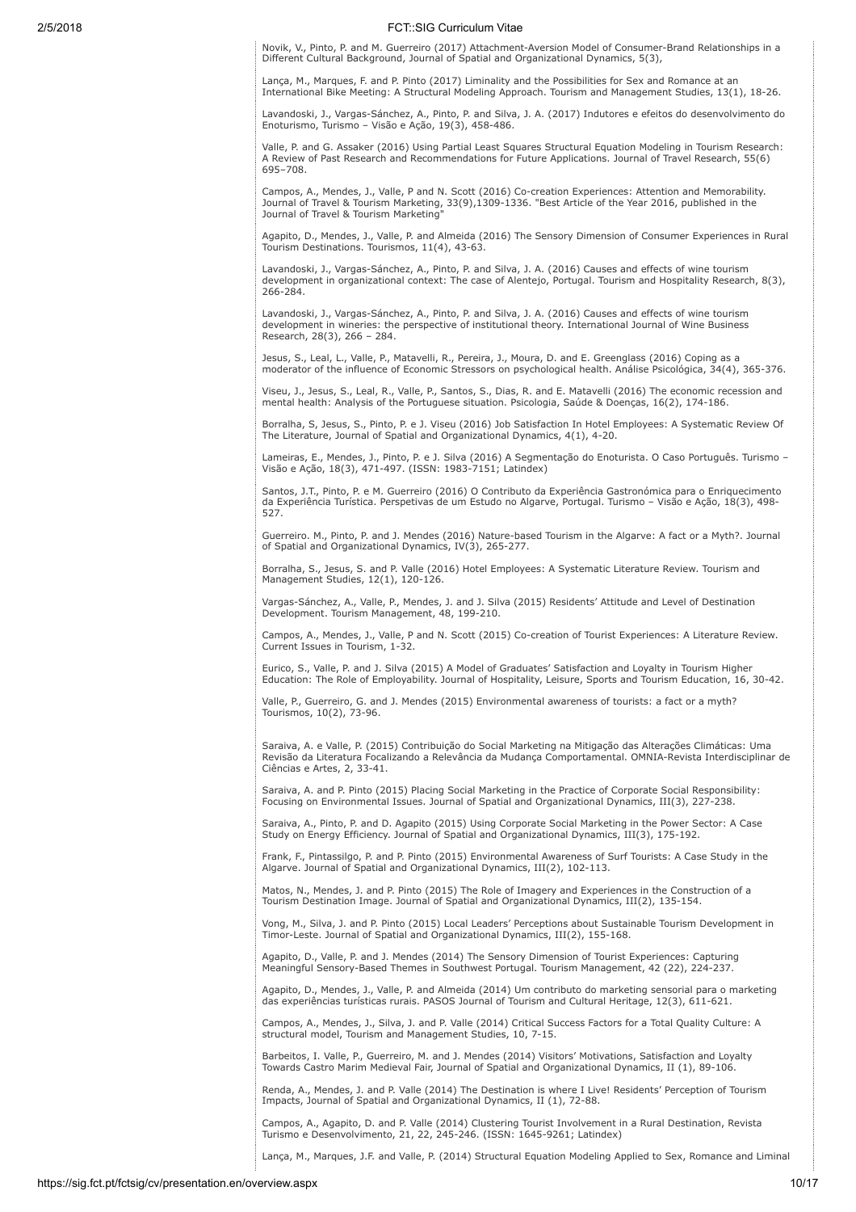Novik, V., Pinto, P. and M. Guerreiro (2017) Attachment-Aversion Model of Consumer-Brand Relationships in a Different Cultural Background, Journal of Spatial and Organizational Dynamics, 5(3),

Lança, M., Marques, F. and P. Pinto (2017) Liminality and the Possibilities for Sex and Romance at an International Bike Meeting: A Structural Modeling Approach. Tourism and Management Studies, 13(1), 18-26.

Lavandoski, J., Vargas-Sánchez, A., Pinto, P. and Silva, J. A. (2017) Indutores e efeitos do desenvolvimento do Enoturismo, Turismo – Visão e Ação, 19(3), 458-486.

Valle, P. and G. Assaker (2016) Using Partial Least Squares Structural Equation Modeling in Tourism Research: A Review of Past Research and Recommendations for Future Applications. Journal of Travel Research, 55(6) 695–708.

Campos, A., Mendes, J., Valle, P and N. Scott (2016) Co-creation Experiences: Attention and Memorability.<br>Journal of Travel & Tourism Marketing, 33(9),1309-1336. "Best Article of the Year 2016, published in the<br>Journal of

Agapito, D., Mendes, J., Valle, P. and Almeida (2016) The Sensory Dimension of Consumer Experiences in Rural Tourism Destinations. Tourismos, 11(4), 43-63.

Lavandoski, J., Vargas-Sánchez, A., Pinto, P. and Silva, J. A. (2016) Causes and effects of wine tourism development in organizational context: The case of Alentejo, Portugal. Tourism and Hospitality Research, 8(3), 266-284.

Lavandoski, J., Vargas-Sánchez, A., Pinto, P. and Silva, J. A. (2016) Causes and effects of wine tourism development in wineries: the perspective of institutional theory. International Journal of Wine Business Research, 28(3), 266 – 284.

Jesus, S., Leal, L., Valle, P., Matavelli, R., Pereira, J., Moura, D. and E. Greenglass (2016) Coping as a moderator of the influence of Economic Stressors on psychological health. Análise Psicológica, 34(4), 365-376.

Viseu, J., Jesus, S., Leal, R., Valle, P., Santos, S., Dias, R. and E. Matavelli (2016) The economic recession and mental health: Analysis of the Portuguese situation. Psicologia, Saúde & Doenças, 16(2), 174-186.

Borralha, S, Jesus, S., Pinto, P. e J. Viseu (2016) Job Satisfaction In Hotel Employees: A Systematic Review Of The Literature, Journal of Spatial and Organizational Dynamics, 4(1), 4-20.

Lameiras, E., Mendes, J., Pinto, P. e J. Silva (2016) A Segmentação do Enoturista. O Caso Português. Turismo – Visão e Ação, 18(3), 471-497. (ISSN: 1983-7151; Latindex)

Santos, J.T., Pinto, P. e M. Guerreiro (2016) O Contributo da Experiência Gastronómica para o Enriquecimento da Experiência Turística. Perspetivas de um Estudo no Algarve, Portugal. Turismo – Visão e Ação, 18(3), 498- 527.

Guerreiro. M., Pinto, P. and J. Mendes (2016) Nature-based Tourism in the Algarve: A fact or a Myth?. Journal of Spatial and Organizational Dynamics, IV(3), 265-277.

Borralha, S., Jesus, S. and P. Valle (2016) Hotel Employees: A Systematic Literature Review. Tourism and Management Studies, 12(1), 120-126.

Vargas-Sánchez, A., Valle, P., Mendes, J. and J. Silva (2015) Residents' Attitude and Level of Destination Development. Tourism Management, 48, 199-210.

Campos, A., Mendes, J., Valle, P and N. Scott (2015) Co-creation of Tourist Experiences: A Literature Review. Current Issues in Tourism, 1-32.

Eurico, S., Valle, P. and J. Silva (2015) A Model of Graduates' Satisfaction and Loyalty in Tourism Higher Education: The Role of Employability. Journal of Hospitality, Leisure, Sports and Tourism Education, 16, 30-42.

Valle, P., Guerreiro, G. and J. Mendes (2015) Environmental awareness of tourists: a fact or a myth? Tourismos, 10(2), 73-96.

Saraiva, A. e Valle, P. (2015) Contribuição do Social Marketing na Mitigação das Alterações Climáticas: Uma Revisão da Literatura Focalizando a Relevância da Mudança Comportamental. OMNIA-Revista Interdisciplinar de Ciências e Artes, 2, 33-41.

Saraiva, A. and P. Pinto (2015) Placing Social Marketing in the Practice of Corporate Social Responsibility: Focusing on Environmental Issues. Journal of Spatial and Organizational Dynamics, III(3), 227-238.

Saraiva, A., Pinto, P. and D. Agapito (2015) Using Corporate Social Marketing in the Power Sector: A Case Study on Energy Efficiency. Journal of Spatial and Organizational Dynamics, III(3), 175-192.

Frank, F., Pintassilgo, P. and P. Pinto (2015) Environmental Awareness of Surf Tourists: A Case Study in the Algarve. Journal of Spatial and Organizational Dynamics, III(2), 102-113.

Matos, N., Mendes, J. and P. Pinto (2015) The Role of Imagery and Experiences in the Construction of a Tourism Destination Image. Journal of Spatial and Organizational Dynamics, III(2), 135-154.

Vong, M., Silva, J. and P. Pinto (2015) Local Leaders' Perceptions about Sustainable Tourism Development in Timor-Leste. Journal of Spatial and Organizational Dynamics, III(2), 155-168.

Agapito, D., Valle, P. and J. Mendes (2014) The Sensory Dimension of Tourist Experiences: Capturing Meaningful Sensory-Based Themes in Southwest Portugal. Tourism Management, 42 (22), 224-237.

Agapito, D., Mendes, J., Valle, P. and Almeida (2014) Um contributo do marketing sensorial para o marketing das experiências turísticas rurais. PASOS Journal of Tourism and Cultural Heritage, 12(3), 611-621.

Campos, A., Mendes, J., Silva, J. and P. Valle (2014) Critical Success Factors for a Total Quality Culture: A structural model, Tourism and Management Studies, 10, 7-15.

Barbeitos, I. Valle, P., Guerreiro, M. and J. Mendes (2014) Visitors' Motivations, Satisfaction and Loyalty Towards Castro Marim Medieval Fair, Journal of Spatial and Organizational Dynamics, II (1), 89-106.

Renda, A., Mendes, J. and P. Valle (2014) The Destination is where I Live! Residents' Perception of Tourism Impacts, Journal of Spatial and Organizational Dynamics, II (1), 72-88.

Campos, A., Agapito, D. and P. Valle (2014) Clustering Tourist Involvement in a Rural Destination, Revista Turismo e Desenvolvimento, 21, 22, 245-246. (ISSN: 1645-9261; Latindex)

Lança, M., Marques, J.F. and Valle, P. (2014) Structural Equation Modeling Applied to Sex, Romance and Liminal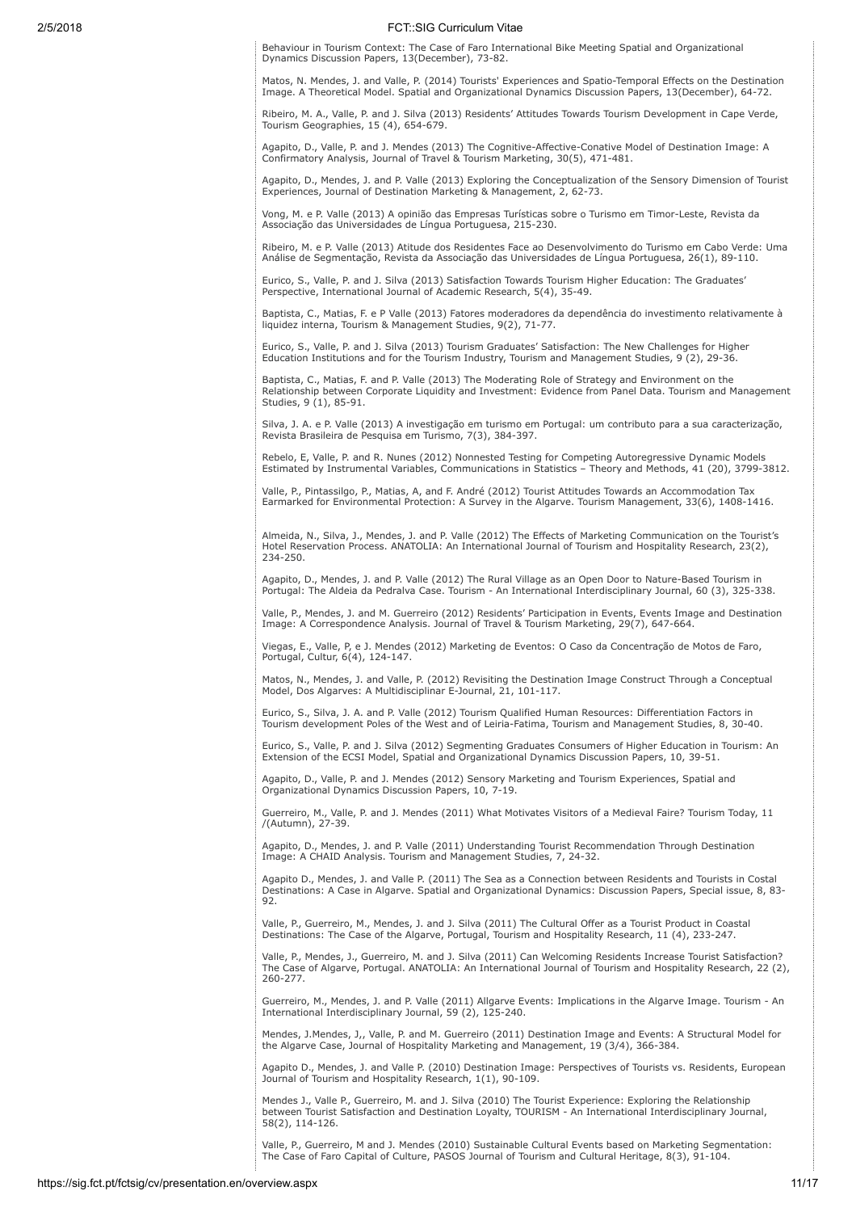Behaviour in Tourism Context: The Case of Faro International Bike Meeting Spatial and Organizational Dynamics Discussion Papers, 13(December), 73-82.

Matos, N. Mendes, J. and Valle, P. (2014) Tourists' Experiences and Spatio-Temporal Effects on the Destination Image. A Theoretical Model. Spatial and Organizational Dynamics Discussion Papers, 13(December), 64-72.

Ribeiro, M. A., Valle, P. and J. Silva (2013) Residents' Attitudes Towards Tourism Development in Cape Verde, Tourism Geographies, 15 (4), 654-679.

Agapito, D., Valle, P. and J. Mendes (2013) The Cognitive-Affective-Conative Model of Destination Image: A Confirmatory Analysis, Journal of Travel & Tourism Marketing, 30(5), 471-481.

Agapito, D., Mendes, J. and P. Valle (2013) Exploring the Conceptualization of the Sensory Dimension of Tourist Experiences, Journal of Destination Marketing & Management, 2, 62-73.

Vong, M. e P. Valle (2013) A opinião das Empresas Turísticas sobre o Turismo em Timor-Leste, Revista da Associação das Universidades de Língua Portuguesa, 215-230.

Ribeiro, M. e P. Valle (2013) Atitude dos Residentes Face ao Desenvolvimento do Turismo em Cabo Verde: Uma Análise de Segmentação, Revista da Associação das Universidades de Língua Portuguesa, 26(1), 89-110.

Eurico, S., Valle, P. and J. Silva (2013) Satisfaction Towards Tourism Higher Education: The Graduates' Perspective, International Journal of Academic Research, 5(4), 35-49.

Baptista, C., Matias, F. e P Valle (2013) Fatores moderadores da dependência do investimento relativamente à liquidez interna, Tourism & Management Studies, 9(2), 71-77.

Eurico, S., Valle, P. and J. Silva (2013) Tourism Graduates' Satisfaction: The New Challenges for Higher Education Institutions and for the Tourism Industry, Tourism and Management Studies, 9 (2), 29-36.

Baptista, C., Matias, F. and P. Valle (2013) The Moderating Role of Strategy and Environment on the Relationship between Corporate Liquidity and Investment: Evidence from Panel Data. Tourism and Management Studies, 9 (1), 85-91.

Silva, J. A. e P. Valle (2013) A investigação em turismo em Portugal: um contributo para a sua caracterização, Revista Brasileira de Pesquisa em Turismo, 7(3), 384-397.

Rebelo, E, Valle, P. and R. Nunes (2012) Nonnested Testing for Competing Autoregressive Dynamic Models Estimated by Instrumental Variables, Communications in Statistics – Theory and Methods, 41 (20), 3799-3812.

Valle, P., Pintassilgo, P., Matias, A, and F. André (2012) Tourist Attitudes Towards an Accommodation Tax Earmarked for Environmental Protection: A Survey in the Algarve. Tourism Management, 33(6), 1408-1416.

Almeida, N., Silva, J., Mendes, J. and P. Valle (2012) The Effects of Marketing Communication on the Tourist's Hotel Reservation Process. ANATOLIA: An International Journal of Tourism and Hospitality Research, 23(2), 234-250.

Agapito, D., Mendes, J. and P. Valle (2012) The Rural Village as an Open Door to Nature-Based Tourism in Portugal: The Aldeia da Pedralva Case. Tourism - An International Interdisciplinary Journal, 60 (3), 325-338.

Valle, P., Mendes, J. and M. Guerreiro (2012) Residents' Participation in Events, Events Image and Destination Image: A Correspondence Analysis. Journal of Travel & Tourism Marketing, 29(7), 647-664.

Viegas, E., Valle, P, e J. Mendes (2012) Marketing de Eventos: O Caso da Concentração de Motos de Faro, Portugal, Cultur, 6(4), 124-147.

Matos, N., Mendes, J. and Valle, P. (2012) Revisiting the Destination Image Construct Through a Conceptual Model, Dos Algarves: A Multidisciplinar E-Journal, 21, 101-117.

Eurico, S., Silva, J. A. and P. Valle (2012) Tourism Qualified Human Resources: Differentiation Factors in Tourism development Poles of the West and of Leiria-Fatima, Tourism and Management Studies, 8, 30-40.

Eurico, S., Valle, P. and J. Silva (2012) Segmenting Graduates Consumers of Higher Education in Tourism: An Extension of the ECSI Model, Spatial and Organizational Dynamics Discussion Papers, 10, 39-51.

Agapito, D., Valle, P. and J. Mendes (2012) Sensory Marketing and Tourism Experiences, Spatial and Organizational Dynamics Discussion Papers, 10, 7-19.

Guerreiro, M., Valle, P. and J. Mendes (2011) What Motivates Visitors of a Medieval Faire? Tourism Today, 11 /(Autumn), 27-39.

Agapito, D., Mendes, J. and P. Valle (2011) Understanding Tourist Recommendation Through Destination Image: A CHAID Analysis. Tourism and Management Studies, 7, 24-32.

Agapito D., Mendes, J. and Valle P. (2011) The Sea as a Connection between Residents and Tourists in Costal Destinations: A Case in Algarve. Spatial and Organizational Dynamics: Discussion Papers, Special issue, 8, 83- 92.

Valle, P., Guerreiro, M., Mendes, J. and J. Silva (2011) The Cultural Offer as a Tourist Product in Coastal Destinations: The Case of the Algarve, Portugal, Tourism and Hospitality Research, 11 (4), 233-247.

Valle, P., Mendes, J., Guerreiro, M. and J. Silva (2011) Can Welcoming Residents Increase Tourist Satisfaction? The Case of Algarve, Portugal. ANATOLIA: An International Journal of Tourism and Hospitality Research, 22 (2), 260-277.

Guerreiro, M., Mendes, J. and P. Valle (2011) Allgarve Events: Implications in the Algarve Image. Tourism - An International Interdisciplinary Journal, 59 (2), 125-240.

Mendes, J.Mendes, J,, Valle, P. and M. Guerreiro (2011) Destination Image and Events: A Structural Model for the Algarve Case, Journal of Hospitality Marketing and Management, 19 (3/4), 366-384.

Agapito D., Mendes, J. and Valle P. (2010) Destination Image: Perspectives of Tourists vs. Residents, European Journal of Tourism and Hospitality Research, 1(1), 90-109.

Mendes J., Valle P., Guerreiro, M. and J. Silva (2010) The Tourist Experience: Exploring the Relationship between Tourist Satisfaction and Destination Loyalty, TOURISM - An International Interdisciplinary Journal, 58(2), 114-126.

Valle, P., Guerreiro, M and J. Mendes (2010) Sustainable Cultural Events based on Marketing Segmentation: The Case of Faro Capital of Culture, PASOS Journal of Tourism and Cultural Heritage, 8(3), 91-104.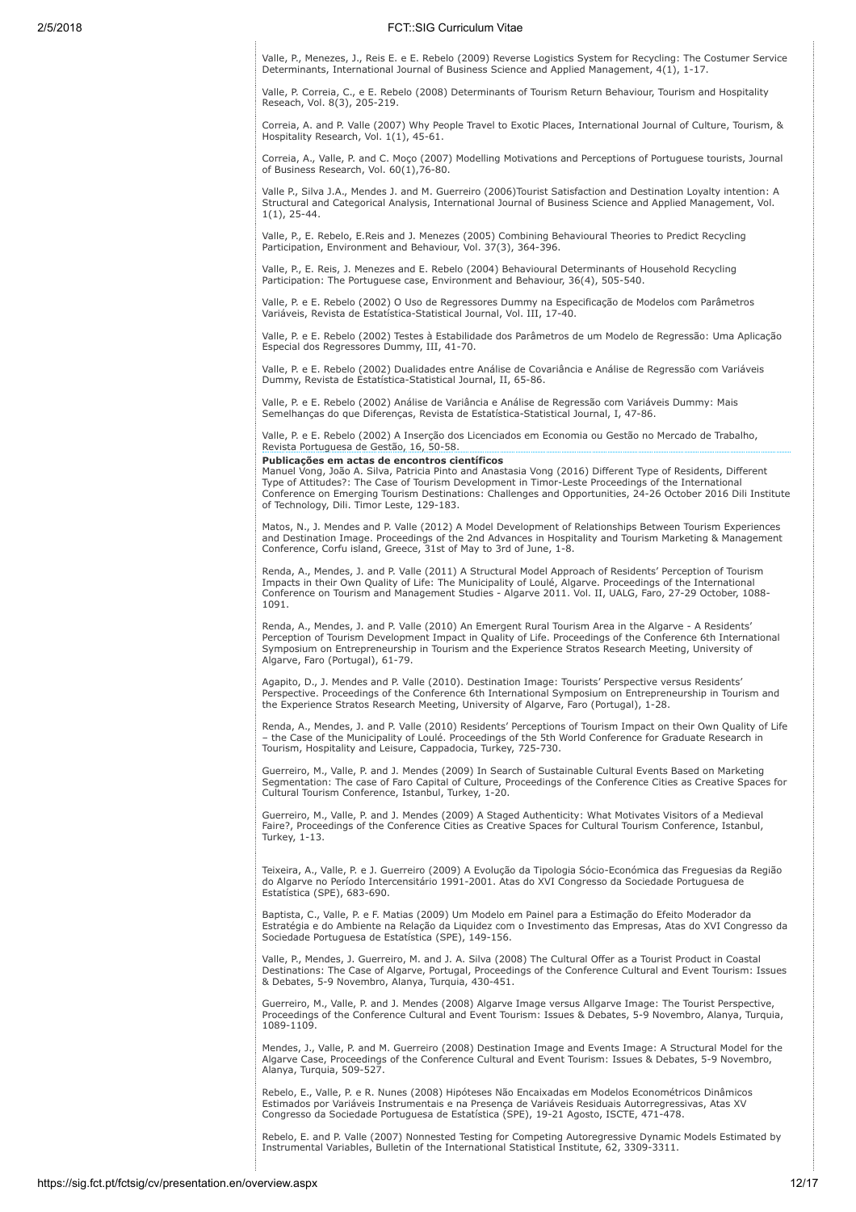Valle, P., Menezes, J., Reis E. e E. Rebelo (2009) Reverse Logistics System for Recycling: The Costumer Service Determinants, International Journal of Business Science and Applied Management, 4(1), 1-17.

Valle, P. Correia, C., e E. Rebelo (2008) Determinants of Tourism Return Behaviour, Tourism and Hospitality Reseach, Vol. 8(3), 205-219.

Correia, A. and P. Valle (2007) Why People Travel to Exotic Places, International Journal of Culture, Tourism, & Hospitality Research, Vol. 1(1), 45-61.

Correia, A., Valle, P. and C. Moço (2007) Modelling Motivations and Perceptions of Portuguese tourists, Journal of Business Research, Vol. 60(1),76-80.

Valle P., Silva J.A., Mendes J. and M. Guerreiro (2006)Tourist Satisfaction and Destination Loyalty intention: A Structural and Categorical Analysis, International Journal of Business Science and Applied Management, Vol.  $1(1)$ , 25-44.

Valle, P., E. Rebelo, E.Reis and J. Menezes (2005) Combining Behavioural Theories to Predict Recycling Participation, Environment and Behaviour, Vol. 37(3), 364-396.

Valle, P., E. Reis, J. Menezes and E. Rebelo (2004) Behavioural Determinants of Household Recycling Participation: The Portuguese case, Environment and Behaviour, 36(4), 505-540.

Valle, P. e E. Rebelo (2002) O Uso de Regressores Dummy na Especificação de Modelos com Parâmetros Variáveis, Revista de Estatística-Statistical Journal, Vol. III, 17-40.

Valle, P. e E. Rebelo (2002) Testes à Estabilidade dos Parâmetros de um Modelo de Regressão: Uma Aplicação Especial dos Regressores Dummy, III, 41-70.

Valle, P. e E. Rebelo (2002) Dualidades entre Análise de Covariância e Análise de Regressão com Variáveis Dummy, Revista de Estatística-Statistical Journal, II, 65-86.

Valle, P. e E. Rebelo (2002) Análise de Variância e Análise de Regressão com Variáveis Dummy: Mais Semelhanças do que Diferenças, Revista de Estatística-Statistical Journal, I, 47-86.

Valle, P. e E. Rebelo (2002) A Inserção dos Licenciados em Economia ou Gestão no Mercado de Trabalho, Revista Portuguesa de Gestão, 16, 50-58.

### Publicações em actas de encontros científicos

Manuel Vong, João A. Silva, Patricia Pinto and Anastasia Vong (2016) Different Type of Residents, Different Type of Attitudes?: The Case of Tourism Development in Timor-Leste Proceedings of the International Conference on Emerging Tourism Destinations: Challenges and Opportunities, 24-26 October 2016 Dili Institute of Technology, Dili. Timor Leste, 129-183.

Matos, N., J. Mendes and P. Valle (2012) A Model Development of Relationships Between Tourism Experiences and Destination Image. Proceedings of the 2nd Advances in Hospitality and Tourism Marketing & Management Conference, Corfu island, Greece, 31st of May to 3rd of June, 1-8.

Renda, A., Mendes, J. and P. Valle (2011) A Structural Model Approach of Residents' Perception of Tourism<br>Impacts in their Own Quality of Life: The Municipality of Loulé, Algarve. Proceedings of the International<br>Conferenc 1091.

Renda, A., Mendes, J. and P. Valle (2010) An Emergent Rural Tourism Area in the Algarve - A Residents' Perception of Tourism Development Impact in Quality of Life. Proceedings of the Conference 6th International Symposium on Entrepreneurship in Tourism and the Experience Stratos Research Meeting, University of Algarve, Faro (Portugal), 61-79.

Agapito, D., J. Mendes and P. Valle (2010). Destination Image: Tourists' Perspective versus Residents' Perspective. Proceedings of the Conference 6th International Symposium on Entrepreneurship in Tourism and the Experience Stratos Research Meeting, University of Algarve, Faro (Portugal), 1-28.

Renda, A., Mendes, J. and P. Valle (2010) Residents' Perceptions of Tourism Impact on their Own Quality of Life – the Case of the Municipality of Loulé. Proceedings of the 5th World Conference for Graduate Research in Tourism, Hospitality and Leisure, Cappadocia, Turkey, 725-730.

Guerreiro, M., Valle, P. and J. Mendes (2009) In Search of Sustainable Cultural Events Based on Marketing Segmentation: The case of Faro Capital of Culture, Proceedings of the Conference Cities as Creative Spaces for Cultural Tourism Conference, Istanbul, Turkey, 1-20.

Guerreiro, M., Valle, P. and J. Mendes (2009) A Staged Authenticity: What Motivates Visitors of a Medieval Faire?, Proceedings of the Conference Cities as Creative Spaces for Cultural Tourism Conference, Istanbul, Turkey, 1-13.

Teixeira, A., Valle, P. e J. Guerreiro (2009) A Evolução da Tipologia Sócio-Económica das Freguesias da Região do Algarve no Período Intercensitário 1991-2001. Atas do XVI Congresso da Sociedade Portuguesa de Estatística (SPE), 683-690.

Baptista, C., Valle, P. e F. Matias (2009) Um Modelo em Painel para a Estimação do Efeito Moderador da Estratégia e do Ambiente na Relação da Liquidez com o Investimento das Empresas, Atas do XVI Congresso da Sociedade Portuguesa de Estatística (SPE), 149-156.

Valle, P., Mendes, J. Guerreiro, M. and J. A. Silva (2008) The Cultural Offer as a Tourist Product in Coastal Destinations: The Case of Algarve, Portugal, Proceedings of the Conference Cultural and Event Tourism: Issues & Debates, 5-9 Novembro, Alanya, Turquia, 430-451.

Guerreiro, M., Valle, P. and J. Mendes (2008) Algarve Image versus Allgarve Image: The Tourist Perspective, Proceedings of the Conference Cultural and Event Tourism: Issues & Debates, 5-9 Novembro, Alanya, Turquia, 1089-1109.

Mendes, J., Valle, P. and M. Guerreiro (2008) Destination Image and Events Image: A Structural Model for the Algarve Case, Proceedings of the Conference Cultural and Event Tourism: Issues & Debates, 5-9 Novembro, Alanya, Turquia, 509-527.

Rebelo, E., Valle, P. e R. Nunes (2008) Hipóteses Não Encaixadas em Modelos Econométricos Dinâmicos Estimados por Variáveis Instrumentais e na Presença de Variáveis Residuais Autorregressivas, Atas XV Congresso da Sociedade Portuguesa de Estatística (SPE), 19-21 Agosto, ISCTE, 471-478.

Rebelo, E. and P. Valle (2007) Nonnested Testing for Competing Autoregressive Dynamic Models Estimated by Instrumental Variables, Bulletin of the International Statistical Institute, 62, 3309-3311.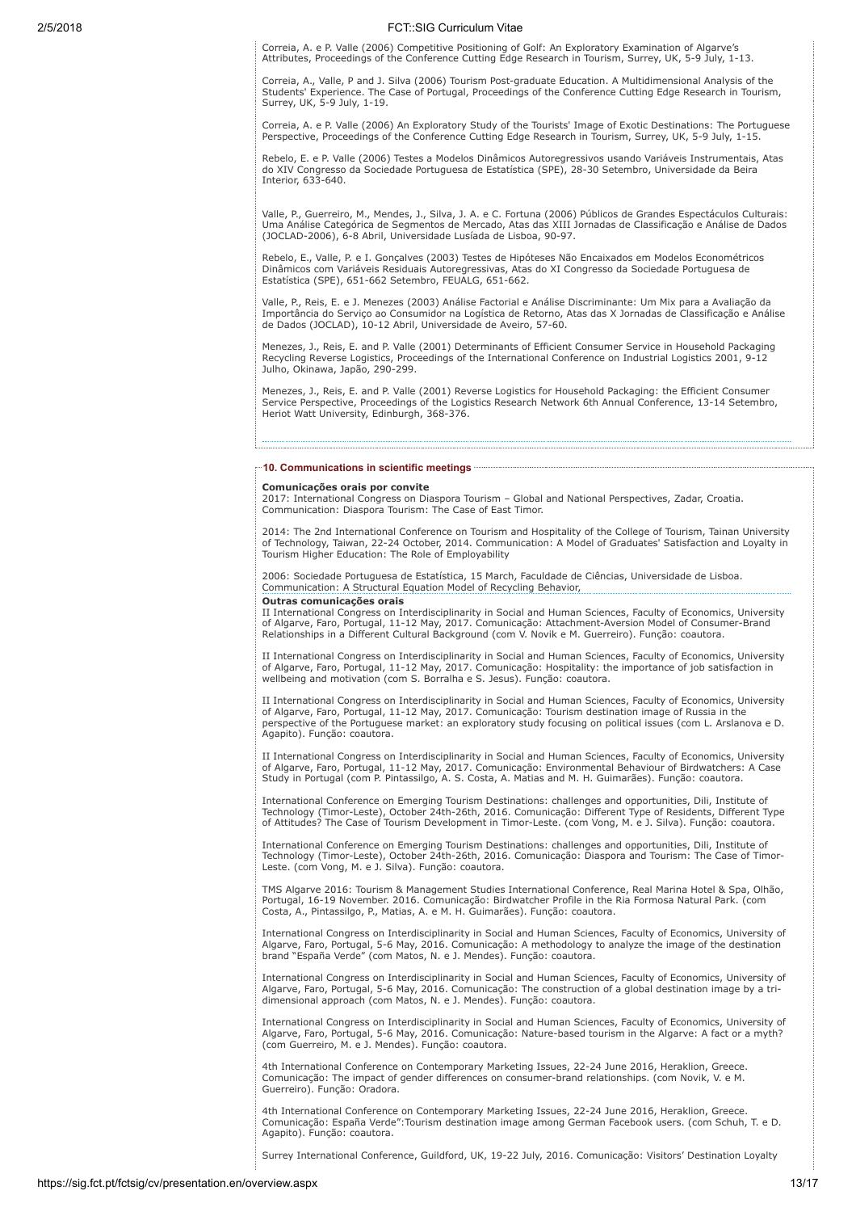Correia, A. e P. Valle (2006) Competitive Positioning of Golf: An Exploratory Examination of Algarve's Attributes, Proceedings of the Conference Cutting Edge Research in Tourism, Surrey, UK, 5-9 July, 1-13.

Correia, A., Valle, P and J. Silva (2006) Tourism Post-graduate Education. A Multidimensional Analysis of the Students' Experience. The Case of Portugal, Proceedings of the Conference Cutting Edge Research in Tourism, Surrey, UK, 5-9 July, 1-19.

Correia, A. e P. Valle (2006) An Exploratory Study of the Tourists' Image of Exotic Destinations: The Portuguese Perspective, Proceedings of the Conference Cutting Edge Research in Tourism, Surrey, UK, 5-9 July, 1-15.

Rebelo, E. e P. Valle (2006) Testes a Modelos Dinâmicos Autoregressivos usando Variáveis Instrumentais, Atas do XIV Congresso da Sociedade Portuguesa de Estatística (SPE), 28-30 Setembro, Universidade da Beira Interior, 633-640.

Valle, P., Guerreiro, M., Mendes, J., Silva, J. A. e C. Fortuna (2006) Públicos de Grandes Espectáculos Culturais: Uma Análise Categórica de Segmentos de Mercado, Atas das XIII Jornadas de Classificação e Análise de Dados (JOCLAD-2006), 6-8 Abril, Universidade Lusíada de Lisboa, 90-97.

Rebelo, E., Valle, P. e I. Gonçalves (2003) Testes de Hipóteses Não Encaixados em Modelos Econométricos Dinâmicos com Variáveis Residuais Autoregressivas, Atas do XI Congresso da Sociedade Portuguesa de Estatística (SPE), 651-662 Setembro, FEUALG, 651-662.

Valle, P., Reis, E. e J. Menezes (2003) Análise Factorial e Análise Discriminante: Um Mix para a Avaliação da Importância do Serviço ao Consumidor na Logística de Retorno, Atas das X Jornadas de Classificação e Análise de Dados (JOCLAD), 10-12 Abril, Universidade de Aveiro, 57-60.

Menezes, J., Reis, E. and P. Valle (2001) Determinants of Efficient Consumer Service in Household Packaging Recycling Reverse Logistics, Proceedings of the International Conference on Industrial Logistics 2001, 9-12 Julho, Okinawa, Japão, 290-299.

Menezes, J., Reis, E. and P. Valle (2001) Reverse Logistics for Household Packaging: the Efficient Consumer Service Perspective, Proceedings of the Logistics Research Network 6th Annual Conference, 13-14 Setembro, Heriot Watt University, Edinburgh, 368-376.

#### 10. Communications in scientific meetings ....

## Comunicações orais por convite

2017: International Congress on Diaspora Tourism – Global and National Perspectives, Zadar, Croatia. Communication: Diaspora Tourism: The Case of East Timor.

2014: The 2nd International Conference on Tourism and Hospitality of the College of Tourism, Tainan University of Technology, Taiwan, 22-24 October, 2014. Communication: A Model of Graduates' Satisfaction and Loyalty in Tourism Higher Education: The Role of Employability

2006: Sociedade Portuguesa de Estatística, 15 March, Faculdade de Ciências, Universidade de Lisboa. Communication: A Structural Equation Model of Recycling Behavior, Outras comunicações orais

II International Congress on Interdisciplinarity in Social and Human Sciences, Faculty of Economics, University<br>of Algarve, Faro, Portugal, 11-12 May, 2017. Comunicação: Attachment-Aversion Model of Consumer-Brand<br>Relation

II International Congress on Interdisciplinarity in Social and Human Sciences, Faculty of Economics, University<br>of Algarve, Faro, Portugal, 11-12 May, 2017. Comunicação: Hospitality: the importance of job satisfaction in<br>w

II International Congress on Interdisciplinarity in Social and Human Sciences, Faculty of Economics, University<br>of Algarve, Faro, Portugal, 11-12 May, 2017. Comunicação: Tourism destination image of Russia in the<br>perspecti Agapito). Função: coautora.

II International Congress on Interdisciplinarity in Social and Human Sciences, Faculty of Economics, University of Algarve, Faro, Portugal, 11-12 May, 2017. Comunicação: Environmental Behaviour of Birdwatchers: A Case Study in Portugal (com P. Pintassilgo, A. S. Costa, A. Matias and M. H. Guimarães). Função: coautora.

International Conference on Emerging Tourism Destinations: challenges and opportunities, Dili, Institute of Technology (Timor-Leste), October 24th-26th, 2016. Comunicação: Different Type of Residents, Different Type of Attitudes? The Case of Tourism Development in Timor-Leste. (com Vong, M. e J. Silva). Função: coautora.

International Conference on Emerging Tourism Destinations: challenges and opportunities, Dili, Institute of Technology (Timor-Leste), October 24th-26th, 2016. Comunicação: Diaspora and Tourism: The Case of Timor-Leste. (com Vong, M. e J. Silva). Função: coautora.

TMS Algarve 2016: Tourism & Management Studies International Conference, Real Marina Hotel & Spa, Olhão, Portugal, 16-19 November. 2016. Comunicação: Birdwatcher Profile in the Ria Formosa Natural Park. (com Costa, A., Pintassilgo, P., Matias, A. e M. H. Guimarães). Função: coautora.

International Congress on Interdisciplinarity in Social and Human Sciences, Faculty of Economics, University of Algarve, Faro, Portugal, 5-6 May, 2016. Comunicação: A methodology to analyze the image of the destination brand "España Verde" (com Matos, N. e J. Mendes). Função: coautora.

International Congress on Interdisciplinarity in Social and Human Sciences, Faculty of Economics, University of Algarve, Faro, Portugal, 5-6 May, 2016. Comunicação: The construction of a global destination image by a tridimensional approach (com Matos, N. e J. Mendes). Função: coautora.

International Congress on Interdisciplinarity in Social and Human Sciences, Faculty of Economics, University of Algarve, Faro, Portugal, 5-6 May, 2016. Comunicação: Nature-based tourism in the Algarve: A fact or a myth? (com Guerreiro, M. e J. Mendes). Função: coautora.

4th International Conference on Contemporary Marketing Issues, 22-24 June 2016, Heraklion, Greece. Comunicação: The impact of gender differences on consumer-brand relationships. (com Novik, V. e M. Guerreiro). Função: Oradora.

4th International Conference on Contemporary Marketing Issues, 22-24 June 2016, Heraklion, Greece. Comunicação: España Verde":Tourism destination image among German Facebook users. (com Schuh, T. e D. Agapito). Função: coautora.

Surrey International Conference, Guildford, UK, 19-22 July, 2016. Comunicação: Visitors' Destination Loyalty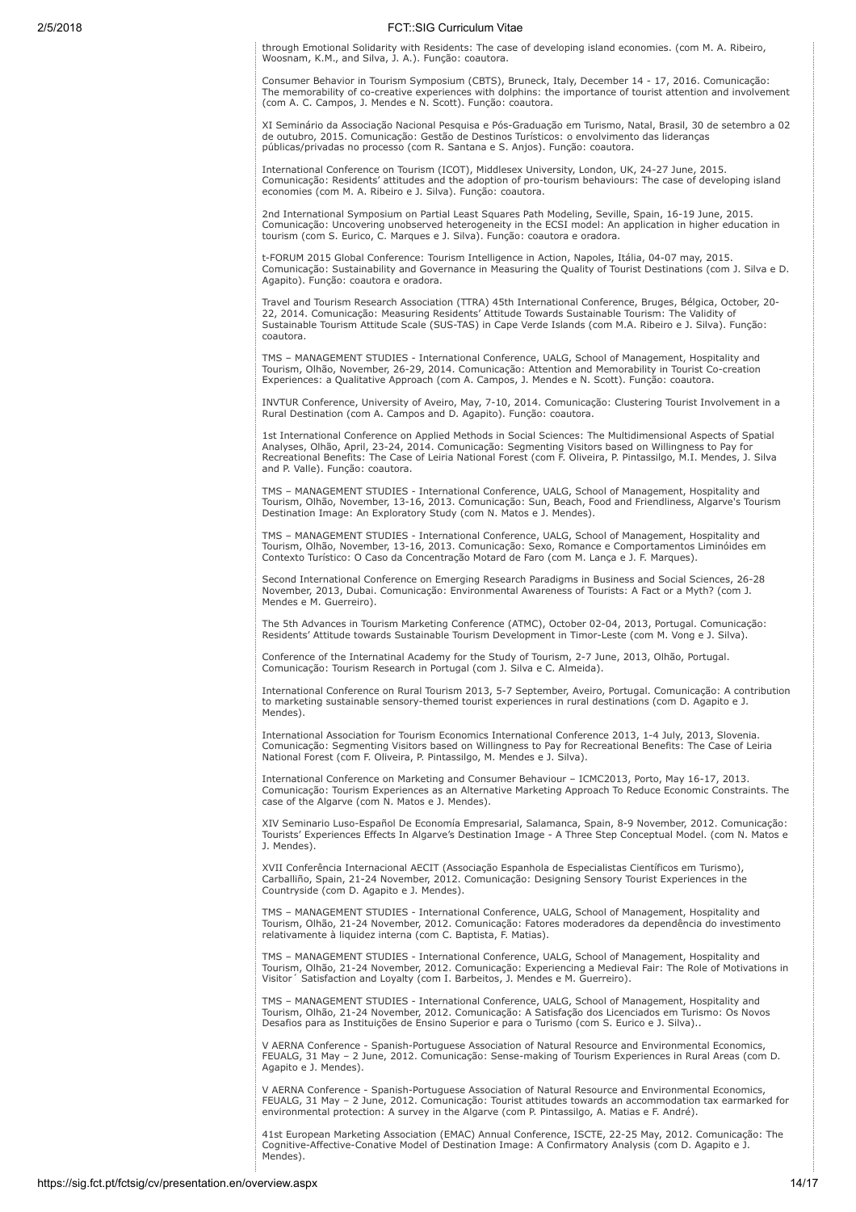through Emotional Solidarity with Residents: The case of developing island economies. (com M. A. Ribeiro, Woosnam, K.M., and Silva, J. A.). Função: coautora.

Consumer Behavior in Tourism Symposium (CBTS), Bruneck, Italy, December 14 - 17, 2016. Comunicação: The memorability of co-creative experiences with dolphins: the importance of tourist attention and involvement (com A. C. Campos, J. Mendes e N. Scott). Função: coautora.

XI Seminário da Associação Nacional Pesquisa e Pós-Graduação em Turismo, Natal, Brasil, 30 de setembro a 02 de outubro, 2015. Comunicação: Gestão de Destinos Turísticos: o envolvimento das lideranças públicas/privadas no processo (com R. Santana e S. Anjos). Função: coautora.

International Conference on Tourism (ICOT), Middlesex University, London, UK, 24-27 June, 2015. Comunicação: Residents' attitudes and the adoption of pro-tourism behaviours: The case of developing island economies (com M. A. Ribeiro e J. Silva). Função: coautora.

2nd International Symposium on Partial Least Squares Path Modeling, Seville, Spain, 16-19 June, 2015. Comunicação: Uncovering unobserved heterogeneity in the ECSI model: An application in higher education in tourism (com S. Eurico, C. Marques e J. Silva). Função: coautora e oradora.

t-FORUM 2015 Global Conference: Tourism Intelligence in Action, Napoles, Itália, 04-07 may, 2015. Comunicação: Sustainability and Governance in Measuring the Quality of Tourist Destinations (com J. Silva e D. Agapito). Função: coautora e oradora.

Travel and Tourism Research Association (TTRA) 45th International Conference, Bruges, Bélgica, October, 20- 22, 2014. Comunicação: Measuring Residents' Attitude Towards Sustainable Tourism: The Validity of Sustainable Tourism Attitude Scale (SUS-TAS) in Cape Verde Islands (com M.A. Ribeiro e J. Silva). Função: coautora.

TMS – MANAGEMENT STUDIES - International Conference, UALG, School of Management, Hospitality and Tourism, Olhão, November, 26-29, 2014. Comunicação: Attention and Memorability in Tourist Co-creation Experiences: a Qualitative Approach (com A. Campos, J. Mendes e N. Scott). Função: coautora.

INVTUR Conference, University of Aveiro, May, 7-10, 2014. Comunicação: Clustering Tourist Involvement in a Rural Destination (com A. Campos and D. Agapito). Função: coautora.

1st International Conference on Applied Methods in Social Sciences: The Multidimensional Aspects of Spatial Analyses, Olhão, April, 23-24, 2014. Comunicação: Segmenting Visitors based on Willingness to Pay for Recreational Benefits: The Case of Leiria National Forest (com F. Oliveira, P. Pintassilgo, M.I. Mendes, J. Silva and P. Valle). Função: coautora.

TMS – MANAGEMENT STUDIES - International Conference, UALG, School of Management, Hospitality and Tourism, Olhão, November, 13-16, 2013. Comunicação: Sun, Beach, Food and Friendliness, Algarve's Tourism Destination Image: An Exploratory Study (com N. Matos e J. Mendes).

TMS – MANAGEMENT STUDIES - International Conference, UALG, School of Management, Hospitality and Tourism, Olhão, November, 13-16, 2013. Comunicação: Sexo, Romance e Comportamentos Liminóides em Contexto Turístico: O Caso da Concentração Motard de Faro (com M. Lança e J. F. Marques).

Second International Conference on Emerging Research Paradigms in Business and Social Sciences, 26-28 November, 2013, Dubai. Comunicação: Environmental Awareness of Tourists: A Fact or a Myth? (com J. Mendes e M. Guerreiro).

The 5th Advances in Tourism Marketing Conference (ATMC), October 02-04, 2013, Portugal. Comunicação: Residents' Attitude towards Sustainable Tourism Development in Timor-Leste (com M. Vong e J. Silva).

Conference of the Internatinal Academy for the Study of Tourism, 2-7 June, 2013, Olhão, Portugal. Comunicação: Tourism Research in Portugal (com J. Silva e C. Almeida).

International Conference on Rural Tourism 2013, 5-7 September, Aveiro, Portugal. Comunicação: A contribution to marketing sustainable sensory-themed tourist experiences in rural destinations (com D. Agapito e J. Mendes).

International Association for Tourism Economics International Conference 2013, 1-4 July, 2013, Slovenia. Comunicação: Segmenting Visitors based on Willingness to Pay for Recreational Benefits: The Case of Leiria National Forest (com F. Oliveira, P. Pintassilgo, M. Mendes e J. Silva).

International Conference on Marketing and Consumer Behaviour – ICMC2013, Porto, May 16-17, 2013. Comunicação: Tourism Experiences as an Alternative Marketing Approach To Reduce Economic Constraints. The case of the Algarve (com N. Matos e J. Mendes).

XIV Seminario Luso-Español De Economía Empresarial, Salamanca, Spain, 8-9 November, 2012. Comunicação: Tourists' Experiences Effects In Algarve's Destination Image - A Three Step Conceptual Model. (com N. Matos e J. Mendes).

XVII Conferência Internacional AECIT (Associação Espanhola de Especialistas Científicos em Turismo), Carballiño, Spain, 21-24 November, 2012. Comunicação: Designing Sensory Tourist Experiences in the Countryside (com D. Agapito e J. Mendes).

TMS – MANAGEMENT STUDIES - International Conference, UALG, School of Management, Hospitality and Tourism, Olhão, 21-24 November, 2012. Comunicação: Fatores moderadores da dependência do investimento relativamente à liquidez interna (com C. Baptista, F. Matias).

TMS – MANAGEMENT STUDIES - International Conference, UALG, School of Management, Hospitality and Tourism, Olhão, 21-24 November, 2012. Comunicação: Experiencing a Medieval Fair: The Role of Motivations in Visitor´ Satisfaction and Loyalty (com I. Barbeitos, J. Mendes e M. Guerreiro).

TMS – MANAGEMENT STUDIES - International Conference, UALG, School of Management, Hospitality and Tourism, Olhão, 21-24 November, 2012. Comunicação: A Satisfação dos Licenciados em Turismo: Os Novos Desafios para as Instituições de Ensino Superior e para o Turismo (com S. Eurico e J. Silva)..

V AERNA Conference - Spanish-Portuguese Association of Natural Resource and Environmental Economics, FEUALG, 31 May – 2 June, 2012. Comunicação: Sense-making of Tourism Experiences in Rural Areas (com D. Agapito e J. Mendes).

V AERNA Conference - Spanish-Portuguese Association of Natural Resource and Environmental Economics, FEUALG, 31 May – 2 June, 2012. Comunicação: Tourist attitudes towards an accommodation tax earmarked for environmental protection: A survey in the Algarve (com P. Pintassilgo, A. Matias e F. André).

41st European Marketing Association (EMAC) Annual Conference, ISCTE, 22-25 May, 2012. Comunicação: The Cognitive-Affective-Conative Model of Destination Image: A Confirmatory Analysis (com D. Agapito e J. Mendes).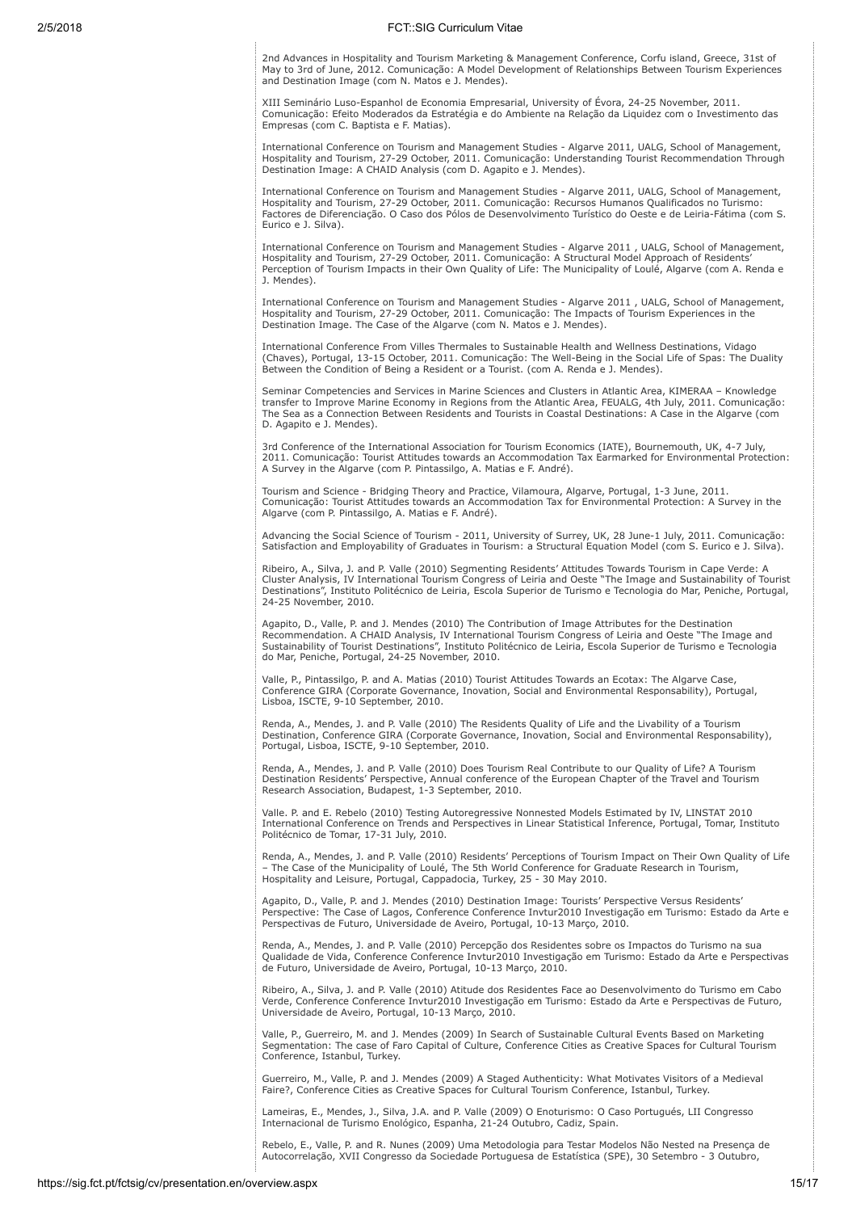2nd Advances in Hospitality and Tourism Marketing & Management Conference, Corfu island, Greece, 31st of May to 3rd of June, 2012. Comunicação: A Model Development of Relationships Between Tourism Experiences and Destination Image (com N. Matos e J. Mendes).

XIII Seminário Luso-Espanhol de Economia Empresarial, University of Évora, 24-25 November, 2011. Comunicação: Efeito Moderados da Estratégia e do Ambiente na Relação da Liquidez com o Investimento das Empresas (com C. Baptista e F. Matias).

International Conference on Tourism and Management Studies - Algarve 2011, UALG, School of Management, Hospitality and Tourism, 27-29 October, 2011. Comunicação: Understanding Tourist Recommendation Through Destination Image: A CHAID Analysis (com D. Agapito e J. Mendes).

International Conference on Tourism and Management Studies - Algarve 2011, UALG, School of Management,<br>Hospitality and Tourism, 27-29 October, 2011. Comunicação: Recursos Humanos Qualificados no Turismo:<br>Factores de Difere Eurico e J. Silva).

International Conference on Tourism and Management Studies - Algarve 2011 , UALG, School of Management, Hospitality and Tourism, 27-29 October, 2011. Comunicação: A Structural Model Approach of Residents' Perception of Tourism Impacts in their Own Quality of Life: The Municipality of Loulé, Algarve (com A. Renda e J. Mendes).

International Conference on Tourism and Management Studies - Algarve 2011 , UALG, School of Management,<br>Hospitality and Tourism, 27-29 October, 2011. Comunicação: The Impacts of Tourism Experiences in the<br>Destination Image

International Conference From Villes Thermales to Sustainable Health and Wellness Destinations, Vidago (Chaves), Portugal, 13-15 October, 2011. Comunicação: The Well-Being in the Social Life of Spas: The Duality Between the Condition of Being a Resident or a Tourist. (com A. Renda e J. Mendes).

Seminar Competencies and Services in Marine Sciences and Clusters in Atlantic Area, KIMERAA – Knowledge transfer to Improve Marine Economy in Regions from the Atlantic Area, FEUALG, 4th July, 2011. Comunicação: The Sea as a Connection Between Residents and Tourists in Coastal Destinations: A Case in the Algarve (com D. Agapito e J. Mendes).

3rd Conference of the International Association for Tourism Economics (IATE), Bournemouth, UK, 4-7 July, 2011. Comunicação: Tourist Attitudes towards an Accommodation Tax Earmarked for Environmental Protection: A Survey in the Algarve (com P. Pintassilgo, A. Matias e F. André).

Tourism and Science - Bridging Theory and Practice, Vilamoura, Algarve, Portugal, 1-3 June, 2011. Comunicação: Tourist Attitudes towards an Accommodation Tax for Environmental Protection: A Survey in the Algarve (com P. Pintassilgo, A. Matias e F. André).

Advancing the Social Science of Tourism - 2011, University of Surrey, UK, 28 June-1 July, 2011. Comunicação: Satisfaction and Employability of Graduates in Tourism: a Structural Equation Model (com S. Eurico e J. Silva).

Ribeiro, A., Silva, J. and P. Valle (2010) Segmenting Residents' Attitudes Towards Tourism in Cape Verde: A Cluster Analysis, IV International Tourism Congress of Leiria and Oeste "The Image and Sustainability of Tourist Destinations", Instituto Politécnico de Leiria, Escola Superior de Turismo e Tecnologia do Mar, Peniche, Portugal, 24-25 November, 2010.

Agapito, D., Valle, P. and J. Mendes (2010) The Contribution of Image Attributes for the Destination<br>Recommendation. A CHAID Analysis, IV International Tourism Congress of Leiria and Oeste "The Image and<br>Sustainability of do Mar, Peniche, Portugal, 24-25 November, 2010.

Valle, P., Pintassilgo, P. and A. Matias (2010) Tourist Attitudes Towards an Ecotax: The Algarve Case, Conference GIRA (Corporate Governance, Inovation, Social and Environmental Responsability), Portugal, Lisboa, ISCTE, 9-10 September, 2010.

Renda, A., Mendes, J. and P. Valle (2010) The Residents Quality of Life and the Livability of a Tourism Destination, Conference GIRA (Corporate Governance, Inovation, Social and Environmental Responsability), Portugal, Lisboa, ISCTE, 9-10 September, 2010.

Renda, A., Mendes, J. and P. Valle (2010) Does Tourism Real Contribute to our Quality of Life? A Tourism Destination Residents' Perspective, Annual conference of the European Chapter of the Travel and Tourism Research Association, Budapest, 1-3 September, 2010.

Valle. P. and E. Rebelo (2010) Testing Autoregressive Nonnested Models Estimated by IV, LINSTAT 2010 International Conference on Trends and Perspectives in Linear Statistical Inference, Portugal, Tomar, Instituto Politécnico de Tomar, 17-31 July, 2010.

Renda, A., Mendes, J. and P. Valle (2010) Residents' Perceptions of Tourism Impact on Their Own Quality of Life – The Case of the Municipality of Loulé, The 5th World Conference for Graduate Research in Tourism, Hospitality and Leisure, Portugal, Cappadocia, Turkey, 25 - 30 May 2010.

Agapito, D., Valle, P. and J. Mendes (2010) Destination Image: Tourists' Perspective Versus Residents' Perspective: The Case of Lagos, Conference Conference Invtur2010 Investigação em Turismo: Estado da Arte e Perspectivas de Futuro, Universidade de Aveiro, Portugal, 10-13 Março, 2010.

Renda, A., Mendes, J. and P. Valle (2010) Percepção dos Residentes sobre os Impactos do Turismo na sua Qualidade de Vida, Conference Conference Invtur2010 Investigação em Turismo: Estado da Arte e Perspectivas de Futuro, Universidade de Aveiro, Portugal, 10-13 Março, 2010.

Ribeiro, A., Silva, J. and P. Valle (2010) Atitude dos Residentes Face ao Desenvolvimento do Turismo em Cabo Verde, Conference Conference Invtur2010 Investigação em Turismo: Estado da Arte e Perspectivas de Futuro, Universidade de Aveiro, Portugal, 10-13 Março, 2010.

Valle, P., Guerreiro, M. and J. Mendes (2009) In Search of Sustainable Cultural Events Based on Marketing Segmentation: The case of Faro Capital of Culture, Conference Cities as Creative Spaces for Cultural Tourism Conference, Istanbul, Turkey.

Guerreiro, M., Valle, P. and J. Mendes (2009) A Staged Authenticity: What Motivates Visitors of a Medieval Faire?, Conference Cities as Creative Spaces for Cultural Tourism Conference, Istanbul, Turkey.

Lameiras, E., Mendes, J., Silva, J.A. and P. Valle (2009) O Enoturismo: O Caso Portugués, LII Congresso Internacional de Turismo Enológico, Espanha, 21-24 Outubro, Cadiz, Spain.

Rebelo, E., Valle, P. and R. Nunes (2009) Uma Metodologia para Testar Modelos Não Nested na Presença de Autocorrelação, XVII Congresso da Sociedade Portuguesa de Estatística (SPE), 30 Setembro - 3 Outubro,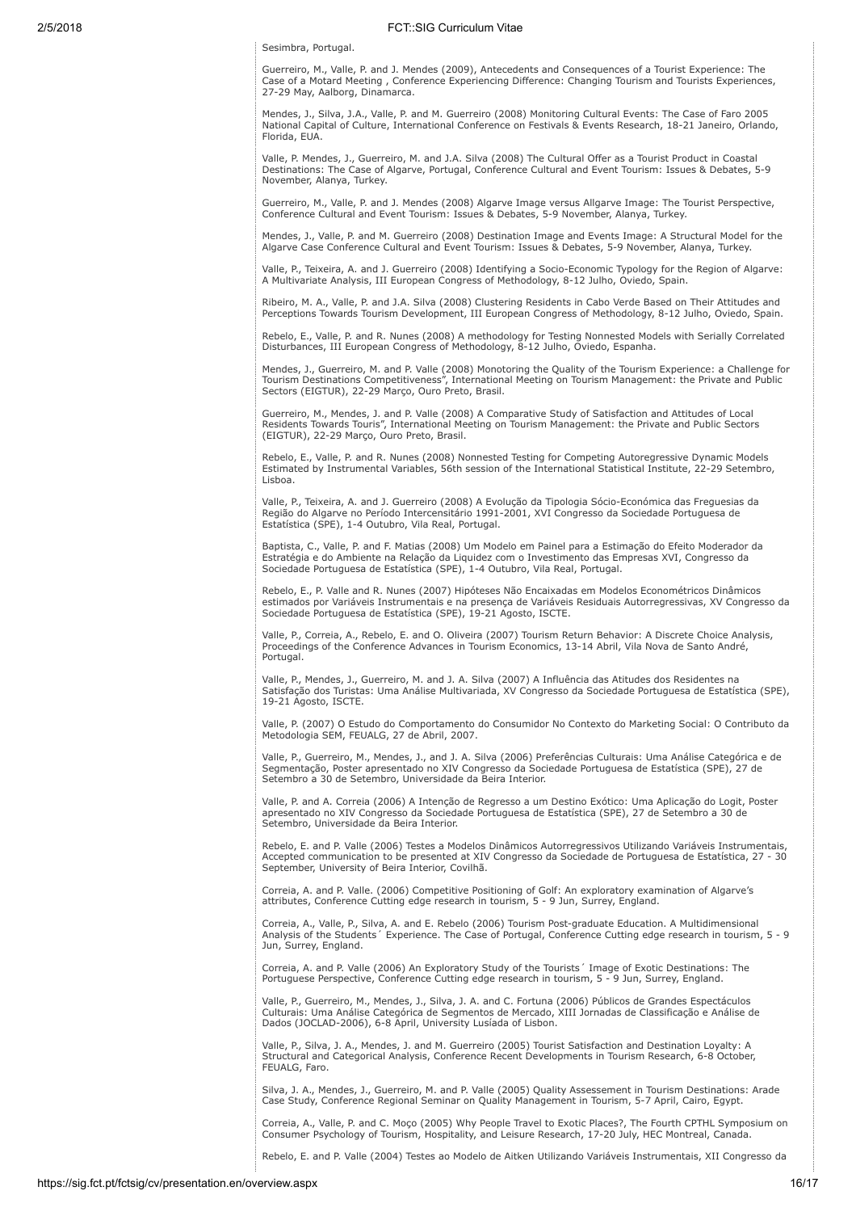Sesimbra, Portugal.

Guerreiro, M., Valle, P. and J. Mendes (2009), Antecedents and Consequences of a Tourist Experience: The Case of a Motard Meeting , Conference Experiencing Difference: Changing Tourism and Tourists Experiences, 27-29 May, Aalborg, Dinamarca.

Mendes, J., Silva, J.A., Valle, P. and M. Guerreiro (2008) Monitoring Cultural Events: The Case of Faro 2005 National Capital of Culture, International Conference on Festivals & Events Research, 18-21 Janeiro, Orlando, Florida, EUA.

Valle, P. Mendes, J., Guerreiro, M. and J.A. Silva (2008) The Cultural Offer as a Tourist Product in Coastal Destinations: The Case of Algarve, Portugal, Conference Cultural and Event Tourism: Issues & Debates, 5-9 November, Alanya, Turkey.

Guerreiro, M., Valle, P. and J. Mendes (2008) Algarve Image versus Allgarve Image: The Tourist Perspective, Conference Cultural and Event Tourism: Issues & Debates, 5-9 November, Alanya, Turkey.

Mendes, J., Valle, P. and M. Guerreiro (2008) Destination Image and Events Image: A Structural Model for the Algarve Case Conference Cultural and Event Tourism: Issues & Debates, 5-9 November, Alanya, Turkey.

Valle, P., Teixeira, A. and J. Guerreiro (2008) Identifying a Socio-Economic Typology for the Region of Algarve: A Multivariate Analysis, III European Congress of Methodology, 8-12 Julho, Oviedo, Spain.

Ribeiro, M. A., Valle, P. and J.A. Silva (2008) Clustering Residents in Cabo Verde Based on Their Attitudes and Perceptions Towards Tourism Development, III European Congress of Methodology, 8-12 Julho, Oviedo, Spain.

Rebelo, E., Valle, P. and R. Nunes (2008) A methodology for Testing Nonnested Models with Serially Correlated Disturbances, III European Congress of Methodology, 8-12 Julho, Oviedo, Espanha.

Mendes, J., Guerreiro, M. and P. Valle (2008) Monotoring the Quality of the Tourism Experience: a Challenge for Tourism Destinations Competitiveness", International Meeting on Tourism Management: the Private and Public Sectors (EIGTUR), 22-29 Março, Ouro Preto, Brasil.

Guerreiro, M., Mendes, J. and P. Valle (2008) A Comparative Study of Satisfaction and Attitudes of Local Residents Towards Touris", International Meeting on Tourism Management: the Private and Public Sectors (EIGTUR), 22-29 Março, Ouro Preto, Brasil.

Rebelo, E., Valle, P. and R. Nunes (2008) Nonnested Testing for Competing Autoregressive Dynamic Models Estimated by Instrumental Variables, 56th session of the International Statistical Institute, 22-29 Setembro, Lisboa.

Valle, P., Teixeira, A. and J. Guerreiro (2008) A Evolução da Tipologia Sócio-Económica das Freguesias da Região do Algarve no Período Intercensitário 1991-2001, XVI Congresso da Sociedade Portuguesa de Estatística (SPE), 1-4 Outubro, Vila Real, Portugal.

Baptista, C., Valle, P. and F. Matias (2008) Um Modelo em Painel para a Estimação do Efeito Moderador da Estratégia e do Ambiente na Relação da Liquidez com o Investimento das Empresas XVI, Congresso da Sociedade Portuguesa de Estatística (SPE), 1-4 Outubro, Vila Real, Portugal.

Rebelo, E., P. Valle and R. Nunes (2007) Hipóteses Não Encaixadas em Modelos Econométricos Dinâmicos estimados por Variáveis Instrumentais e na presença de Variáveis Residuais Autorregressivas, XV Congresso da Sociedade Portuguesa de Estatística (SPE), 19-21 Agosto, ISCTE.

Valle, P., Correia, A., Rebelo, E. and O. Oliveira (2007) Tourism Return Behavior: A Discrete Choice Analysis, Proceedings of the Conference Advances in Tourism Economics, 13-14 Abril, Vila Nova de Santo André, Portugal.

Valle, P., Mendes, J., Guerreiro, M. and J. A. Silva (2007) A Influência das Atitudes dos Residentes na Satisfação dos Turistas: Uma Análise Multivariada, XV Congresso da Sociedade Portuguesa de Estatística (SPE), 19-21 Agosto, ISCTE.

Valle, P. (2007) O Estudo do Comportamento do Consumidor No Contexto do Marketing Social: O Contributo da Metodologia SEM, FEUALG, 27 de Abril, 2007.

Valle, P., Guerreiro, M., Mendes, J., and J. A. Silva (2006) Preferências Culturais: Uma Análise Categórica e de Segmentação, Poster apresentado no XIV Congresso da Sociedade Portuguesa de Estatística (SPE), 27 de Setembro a 30 de Setembro, Universidade da Beira Interior.

Valle, P. and A. Correia (2006) A Intenção de Regresso a um Destino Exótico: Uma Aplicação do Logit, Poster apresentado no XIV Congresso da Sociedade Portuguesa de Estatística (SPE), 27 de Setembro a 30 de Setembro, Universidade da Beira Interior.

Rebelo, E. and P. Valle (2006) Testes a Modelos Dinâmicos Autorregressivos Utilizando Variáveis Instrumentais, Accepted communication to be presented at XIV Congresso da Sociedade de Portuguesa de Estatística, 27 - 30 September, University of Beira Interior, Covilhã.

Correia, A. and P. Valle. (2006) Competitive Positioning of Golf: An exploratory examination of Algarve's attributes, Conference Cutting edge research in tourism, 5 - 9 Jun, Surrey, England.

Correia, A., Valle, P., Silva, A. and E. Rebelo (2006) Tourism Post-graduate Education. A Multidimensional Analysis of the Students´ Experience. The Case of Portugal, Conference Cutting edge research in tourism, 5 - 9 Jun, Surrey, England.

Correia, A. and P. Valle (2006) An Exploratory Study of the Tourists´ Image of Exotic Destinations: The Portuguese Perspective, Conference Cutting edge research in tourism, 5 - 9 Jun, Surrey, England.

Valle, P., Guerreiro, M., Mendes, J., Silva, J. A. and C. Fortuna (2006) Públicos de Grandes Espectáculos Culturais: Uma Análise Categórica de Segmentos de Mercado, XIII Jornadas de Classificação e Análise de Dados (JOCLAD-2006), 6-8 April, University Lusíada of Lisbon.

Valle, P., Silva, J. A., Mendes, J. and M. Guerreiro (2005) Tourist Satisfaction and Destination Loyalty: A Structural and Categorical Analysis, Conference Recent Developments in Tourism Research, 6-8 October, FEUALG, Faro.

Silva, J. A., Mendes, J., Guerreiro, M. and P. Valle (2005) Quality Assessement in Tourism Destinations: Arade Case Study, Conference Regional Seminar on Quality Management in Tourism, 5-7 April, Cairo, Egypt.

Correia, A., Valle, P. and C. Moço (2005) Why People Travel to Exotic Places?, The Fourth CPTHL Symposium on Consumer Psychology of Tourism, Hospitality, and Leisure Research, 17-20 July, HEC Montreal, Canada.

Rebelo, E. and P. Valle (2004) Testes ao Modelo de Aitken Utilizando Variáveis Instrumentais, XII Congresso da